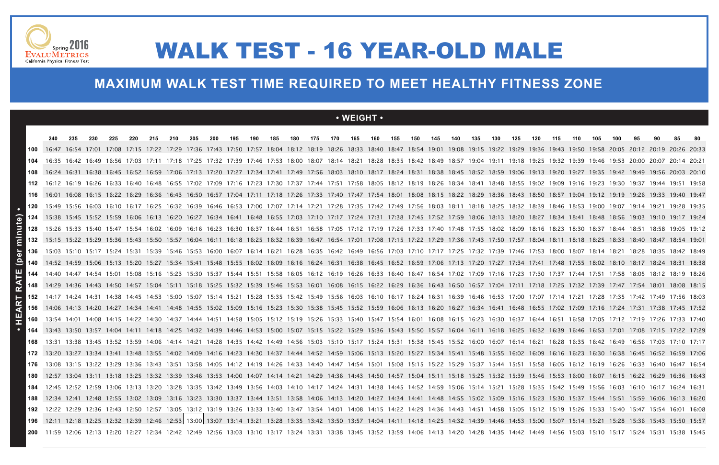

# WALK TEST - 16 YEAR-OLD MALE

### **MAXIMUM WALK TEST TIME REQUIRED TO MEET HEALTHY FITNESS ZONE**

### **• WEIGHT •**

|     |  | 230 | 220 | 215 | 210 | 205 | 200 | 195 | 190 | 185 | 180 | 175 | 170 | 165                                                                                                                                                                                       | 160 | 155 | 150 | 145 | 140 | 135 | 130 | 125 | 120 | 110 | 105 | 100 | 95 |                                                                                                                                                                                                             |  |
|-----|--|-----|-----|-----|-----|-----|-----|-----|-----|-----|-----|-----|-----|-------------------------------------------------------------------------------------------------------------------------------------------------------------------------------------------|-----|-----|-----|-----|-----|-----|-----|-----|-----|-----|-----|-----|----|-------------------------------------------------------------------------------------------------------------------------------------------------------------------------------------------------------------|--|
|     |  |     |     |     |     |     |     |     |     |     |     |     |     |                                                                                                                                                                                           |     |     |     |     |     |     |     |     |     |     |     |     |    | 17:08 17:15 17:22 17:29 17:36 17:43 17:50 17:57 18:04 18:12 18:19 18:26 18:33 18:40 18:47 18:54 19:01 19:08 19:15 19:22 19:29 19:36 19:43 19:50 19:58 20:05 20:12 20:19 20:26 20:33                         |  |
|     |  |     |     |     |     |     |     |     |     |     |     |     |     |                                                                                                                                                                                           |     |     |     |     |     |     |     |     |     |     |     |     |    | 16:35 16:42 16:49 16:56 17:03 17:11 17:18 17:25 17:32 17:39 17:46 17:53 18:00 18:07 18:14 18:21 18:28 18:35 18:42 18:49 18:57 19:04 19:11 19:18 19:25 19:32 19:39 19:46 19:53 20:00 20:07 20:14 20:21       |  |
|     |  |     |     |     |     |     |     |     |     |     |     |     |     |                                                                                                                                                                                           |     |     |     |     |     |     |     |     |     |     |     |     |    | 16:24 16:31 16:38 16:45 16:52 16:59 17:06 17:13 17:20 17:27 17:34 17:41 17:49 17:56 18:03 18:10 18:17 18:24 18:31 18:38 18:45 18:52 18:59 19:06 19:13 19:20 19:27 19:35 19:42 19:49 19:56 20:03 20:10       |  |
|     |  |     |     |     |     |     |     |     |     |     |     |     |     | 16:12 16:19 16:26 16:33 16:40 16:48 16:55 17:02 17:09 17:16 17:23 17:30 17:37 17:44 17:51 17:58 18:05 18:12 18:19 18:26 18:34 18:41 18:48 18:55 19:02 19:09 19:16 19:23 19:30 19:37 19:44 |     |     |     |     |     |     |     |     |     |     |     |     |    | 19:51 19:58                                                                                                                                                                                                 |  |
|     |  |     |     |     |     |     |     |     |     |     |     |     |     |                                                                                                                                                                                           |     |     |     |     |     |     |     |     |     |     |     |     |    | 16:08 16:15 16:22 16:22 16:36 16:43 16:50 16:57 17:04 17:11 17:18 17:26 17:33 17:40 17:54 18:01 18:08 18:15 18:22 18:29 18:36 18:43 18:50 18:57 19:04 19:12 19:19 19:26 19:33 19:40 19:47                   |  |
| 120 |  |     |     |     |     |     |     |     |     |     |     |     |     |                                                                                                                                                                                           |     |     |     |     |     |     |     |     |     |     |     |     |    | 15:49 15:56 16:03 16:10 16:17 16:25 16:32 16:39 16:46 16:53 17:00 17:07 17:14 17:21 17:28 17:35 17:42 17:49 17:56 18:03 18:11 18:18 18:25 18:32 18:39 18:46 18:53 19:00 19:07 19:14 19:21 19:28 19:35       |  |
|     |  |     |     |     |     |     |     |     |     |     |     |     |     |                                                                                                                                                                                           |     |     |     |     |     |     |     |     |     |     |     |     |    | 124 15:38 15:45 15:52 15:59 16:06 16:13 16:20 16:27 16:34 16:41 16:48 16:55 17:03 17:10 17:17 17:24 17:31 17:38 17:45 17:52 17:59 18:06 18:13 18:20 18:27 18:34 18:48 18:56 19:03 19:10 19:17 19:24         |  |
|     |  |     |     |     |     |     |     |     |     |     |     |     |     |                                                                                                                                                                                           |     |     |     |     |     |     |     |     |     |     |     |     |    | 15:26 15:33 15:40 15:47 15:54 16:02 16:09 16:16 16:23 16:30 16:37 16:44 16:51 16:58 17:05 17:12 17:19 17:26 17:33 17:40 17:48 17:55 18:02 18:09 18:16 18:23 18:30 18:37 18:44 18:51 18:58 19:05 19:12       |  |
|     |  |     |     |     |     |     |     |     |     |     |     |     |     |                                                                                                                                                                                           |     |     |     |     |     |     |     |     |     |     |     |     |    | 15:15 15:22 15:29 15:36 15:43 15:50 15:57 16:04 16:11 16:18 16:25 16:32 16:39 16:47 16:54 17:01 17:08 17:15 17:22 17:29 17:36 17:43 17:50 17:57 18:04 18:11 18:18 18:25 18:33 18:40 18:47 18:54 19:01       |  |
|     |  |     |     |     |     |     |     |     |     |     |     |     |     |                                                                                                                                                                                           |     |     |     |     |     |     |     |     |     |     |     |     |    | 15:03 15:10 15:17 15:24 15:31 15:39 15:46 15:53 16:00 16:07 16:14 16:21 16:28 16:35 16:42 16:49 16:56 17:03 17:10 17:17 17:25 17:32 17:39 17:46 17:53 18:00 18:07 18:14 18:21 18:28 18:42 18:42 18:49       |  |
|     |  |     |     |     |     |     |     |     |     |     |     |     |     |                                                                                                                                                                                           |     |     |     |     |     |     |     |     |     |     |     |     |    | 140 14:52 14:59 15:06 15:13 15:20 15:27 15:34 15:41 15:48 15:55 16:02 16:09 16:16 16:24 16:31 16:38 16:45 16:52 16:59 17:06 17:13 17:20 17:27 17:34 17:41 17:48 17:55 18:02 18:10 18:17 18:24 18:31 18:38   |  |
|     |  |     |     |     |     |     |     |     |     |     |     |     |     |                                                                                                                                                                                           |     |     |     |     |     |     |     |     |     |     |     |     |    | 14:40 14:47 14:54 15:01 15:08 15:16 15:23 15:30 15:37 15:44 15:51 15:58 16:05 16:12 16:19 16:26 16:33 16:40 16:47 16:54 17:02 17:09 17:16 17:23 17:30 17:37 17:44 17:51 17:58 18:05 18:12 18:19 18:26       |  |
| 148 |  |     |     |     |     |     |     |     |     |     |     |     |     |                                                                                                                                                                                           |     |     |     |     |     |     |     |     |     |     |     |     |    | 14:29 14:36 14:43 14:50 14:57 15:04 15:11 15:18 15:25 15:32 15:32 15:39 15:46 15:53 16:01 16:08 16:15 16:22 16:29 16:36 16:43 16:50 16:57 17:04 17:11 17:18 17:25 17:32 17:39 17:47 17:54 18:01 18:08 18:15 |  |
|     |  |     |     |     |     |     |     |     |     |     |     |     |     |                                                                                                                                                                                           |     |     |     |     |     |     |     |     |     |     |     |     |    | 14:17 14:24 14:31 14:38 14:45 14:53 15:00 15:07 15:14 15:21 15:28 15:35 15:42 15:49 15:56 16:03 16:10 16:17 16:24 16:31 16:39 16:46 16:53 17:00 17:07 17:14 17:21 17:28 17:35 17:42 17:49 17:56 18:03       |  |
|     |  |     |     |     |     |     |     |     |     |     |     |     |     |                                                                                                                                                                                           |     |     |     |     |     |     |     |     |     |     |     |     |    | 14:06 14:13 14:20 14:27 14:34 14:41 14:48 14:55 15:02 15:09 15:16 15:23 15:30 15:38 15:45 15:52 15:59 16:06 16:13 16:20 16:27 16:34 16:41 16:48 16:55 17:02 17:09 17:16 17:24 17:31 17:38 17:45 17:52       |  |
|     |  |     |     |     |     |     |     |     |     |     |     |     |     |                                                                                                                                                                                           |     |     |     |     |     |     |     |     |     |     |     |     |    | 13:54 14:01 14:08 14:15 14:22 14:30 14:37 14:44 14:51 14:58 15:05 15:12 15:19 15:26 15:33 15:40 15:47 15:54 16:01 16:08 16:15 16:23 16:30 16:37 16:44 16:51 16:58 17:05 17:12 17:19 17:26 17:33 17:40       |  |
|     |  |     |     |     |     |     |     |     |     |     |     |     |     |                                                                                                                                                                                           |     |     |     |     |     |     |     |     |     |     |     |     |    | 13:43 13:50 13:57 14:04 14:11 14:18 14:25 14:32 14:39 14:46 14:53 15:00 15:07 15:15 15:22 15:29 15:36 15:43 15:50 15:57 16:04 16:11 16:18 16:25 16:32 16:39 16:46 16:53 17:01 17:08 17:15 17:22 17:29       |  |
|     |  |     |     |     |     |     |     |     |     |     |     |     |     |                                                                                                                                                                                           |     |     |     |     |     |     |     |     |     |     |     |     |    | 13:38 13:45 13:52 13:59 14:06 14:14 14:21 14:28 14:35 14:42 14:49 14:56 15:03 15:10 15:17 15:24 15:31 15:38 15:45 15:52 16:00 16:07 16:14 16:21 16:28 16:35 16:42 16:49 16:56 17:03 17:10 17:17             |  |
|     |  |     |     |     |     |     |     |     |     |     |     |     |     |                                                                                                                                                                                           |     |     |     |     |     |     |     |     |     |     |     |     |    | 13:20 13:27 13:34 13:41 13:48 13:55 14:02 14:09 14:16 14:23 14:30 14:37 14:44 14:52 14:59 15:06 15:13 15:20 15:27 15:34 15:48 15:55 16:02 16:09 16:16 16:23 16:30 16:38 16:45 16:52 16:59 17:06             |  |
|     |  |     |     |     |     |     |     |     |     |     |     |     |     |                                                                                                                                                                                           |     |     |     |     |     |     |     |     |     |     |     |     |    | 13:15 13:22 13:29 13:36 13:43 13:51 13:58 14:05 14:12 14:19 14:26 14:33 14:40 14:47 14:54 15:01 15:08 15:15 15:22 15:29 15:37 15:44 15:51 15:58 16:05 16:12 16:19 16:26 16:33 16:40 16:47 16:54             |  |
|     |  |     |     |     |     |     |     |     |     |     |     |     |     |                                                                                                                                                                                           |     |     |     |     |     |     |     |     |     |     |     |     |    | 13:04 13:11 13:18 13:25 13:32 13:39 13:46 13:53 14:00 14:07 14:14 14:21 14:29 14:36 14:43 14:50 14:57 15:04 15:11 15:18 15:25 15:32 15:39 15:46 15:53 16:00 16:07 16:15 16:22 16:29 16:36 16:43             |  |
|     |  |     |     |     |     |     |     |     |     |     |     |     |     |                                                                                                                                                                                           |     |     |     |     |     |     |     |     |     |     |     |     |    | 12:45 12:52 12:52 13:06 13:13 13:20 13:28 13:35 13:42 13:49 13:56 14:03 14:10 14:17 14:24 14:31 14:38 14:45 14:52 14:59 15:06 15:14 15:21 15:28 15:35 15:42 15:36 16:03 16:03 16:10 16:17 16:24 16:31       |  |
|     |  |     |     |     |     |     |     |     |     |     |     |     |     |                                                                                                                                                                                           |     |     |     |     |     |     |     |     |     |     |     |     |    | 12:34 12:41 12:48 12:55 13:02 13:09 13:16 13:23 13:30 13:37 13:44 13:51 13:58 14:06 14:13 14:20 14:27 14:34 14:41 14:48 14:55 15:02 15:09 15:16 15:23 15:30 15:37 15:44 15:51 15:59 16:06 16:13 16:20       |  |
| 192 |  |     |     |     |     |     |     |     |     |     |     |     |     |                                                                                                                                                                                           |     |     |     |     |     |     |     |     |     |     |     |     |    | 12:22 12:29 12:36 12:43 12:50 12:57 13:05 13:12 13:19 13:26 13:33 13:40 13:47 13:54 14:01 14:08 14:15 14:22 14:29 14:36 14:43 14:51 14:58 15:05 15:12 15:19 15:26 15:33 15:40 15:47 15:54 16:01 16:08       |  |
|     |  |     |     |     |     |     |     |     |     |     |     |     |     |                                                                                                                                                                                           |     |     |     |     |     |     |     |     |     |     |     |     |    | 196 12:11 12:18 12:25 12:32 12:39 12:46 12:53 13:00 13:07 13:14 13:21 13:28 13:35 13:42 13:50 13:57 14:04 14:11 14:18 14:25 14:39 14:46 14:53 15:00 15:07 15:14 15:21 15:28 15:36 15:43 15:50 15:50         |  |
|     |  |     |     |     |     |     |     |     |     |     |     |     |     |                                                                                                                                                                                           |     |     |     |     |     |     |     |     |     |     |     |     |    | 200 11:59 12:06 12:13 12:20 12:27 12:34 12:42 12:49 12:56 13:03 13:10 13:17 13:24 13:31 13:38 13:45 13:52 13:59 14:06 14:13 14:20 14:28 14:42 14:49 14:49 14:56 15:03 15:17 15:17 15:24 15:31 15:38 15:45   |  |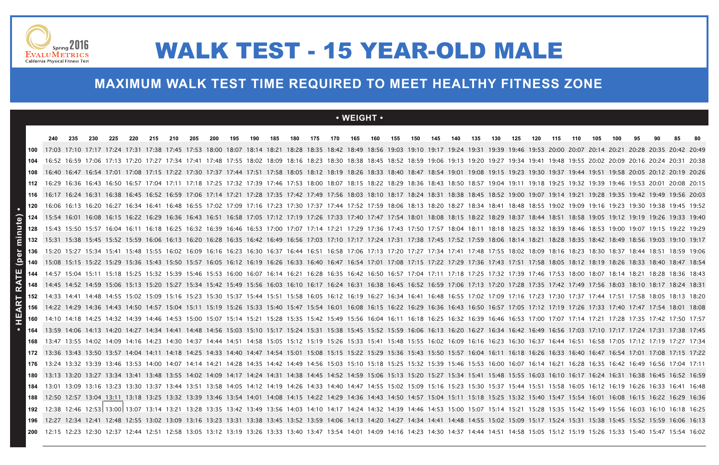

### **MAXIMUM WALK TEST TIME REQUIRED TO MEET HEALTHY FITNESS ZONE**

### **• WEIGHT •**

# WALK TEST - 15 YEAR-OLD MALE

| 240 | 235 | 230 | 225 | 220 | 215 | 210 | 205 | 200 | 195 | 190 | 185 | 180 | 175 | 170 | 165 | 160 | 155 | 150 | 145 | 140 | 135 | 130 | 125 | 120 | 115 | 110 | 105 | 100 | 95 | 90. | 85 | -80                                                                                                                                                                                                                                                                                                                                                                                                                                                                                                                                                                                                                                                                                                                                                                                                                                                                                                                                                                                                                                                                                                                                                                                                                                                                                                                                                                                                                                                                                                                                                                                                                                                                                                                                                                                                                                                                                                                                                                                                                                                                                                                                                                                                                                                                                                                                                                                                                                                                                                                                                                                                                                                                                                                                                                                                                                                                                                                                                                                                                                                                                                                                                                                                                                                                                                                                                                                                                                                                                                                                                                                                                                                                                                                                                                                                                                                                                                                                                                                                                                                                                                                                                                                                                                                                                                                                                                                                                                                                                                                                                                                                                                                                                                                                                                                                                                                                                                                                                                                                                                                                                                                                                                                                                                                                                                                                                                                                                                                                                              |
|-----|-----|-----|-----|-----|-----|-----|-----|-----|-----|-----|-----|-----|-----|-----|-----|-----|-----|-----|-----|-----|-----|-----|-----|-----|-----|-----|-----|-----|----|-----|----|--------------------------------------------------------------------------------------------------------------------------------------------------------------------------------------------------------------------------------------------------------------------------------------------------------------------------------------------------------------------------------------------------------------------------------------------------------------------------------------------------------------------------------------------------------------------------------------------------------------------------------------------------------------------------------------------------------------------------------------------------------------------------------------------------------------------------------------------------------------------------------------------------------------------------------------------------------------------------------------------------------------------------------------------------------------------------------------------------------------------------------------------------------------------------------------------------------------------------------------------------------------------------------------------------------------------------------------------------------------------------------------------------------------------------------------------------------------------------------------------------------------------------------------------------------------------------------------------------------------------------------------------------------------------------------------------------------------------------------------------------------------------------------------------------------------------------------------------------------------------------------------------------------------------------------------------------------------------------------------------------------------------------------------------------------------------------------------------------------------------------------------------------------------------------------------------------------------------------------------------------------------------------------------------------------------------------------------------------------------------------------------------------------------------------------------------------------------------------------------------------------------------------------------------------------------------------------------------------------------------------------------------------------------------------------------------------------------------------------------------------------------------------------------------------------------------------------------------------------------------------------------------------------------------------------------------------------------------------------------------------------------------------------------------------------------------------------------------------------------------------------------------------------------------------------------------------------------------------------------------------------------------------------------------------------------------------------------------------------------------------------------------------------------------------------------------------------------------------------------------------------------------------------------------------------------------------------------------------------------------------------------------------------------------------------------------------------------------------------------------------------------------------------------------------------------------------------------------------------------------------------------------------------------------------------------------------------------------------------------------------------------------------------------------------------------------------------------------------------------------------------------------------------------------------------------------------------------------------------------------------------------------------------------------------------------------------------------------------------------------------------------------------------------------------------------------------------------------------------------------------------------------------------------------------------------------------------------------------------------------------------------------------------------------------------------------------------------------------------------------------------------------------------------------------------------------------------------------------------------------------------------------------------------------------------------------------------------------------------------------------------------------------------------------------------------------------------------------------------------------------------------------------------------------------------------------------------------------------------------------------------------------------------------------------------------------------------------------------------------------------------------------------------------------------------------------------------------------------------------------------|
|     |     |     |     |     |     |     |     |     |     |     |     |     |     |     |     |     |     |     |     |     |     |     |     |     |     |     |     |     |    |     |    |                                                                                                                                                                                                                                                                                                                                                                                                                                                                                                                                                                                                                                                                                                                                                                                                                                                                                                                                                                                                                                                                                                                                                                                                                                                                                                                                                                                                                                                                                                                                                                                                                                                                                                                                                                                                                                                                                                                                                                                                                                                                                                                                                                                                                                                                                                                                                                                                                                                                                                                                                                                                                                                                                                                                                                                                                                                                                                                                                                                                                                                                                                                                                                                                                                                                                                                                                                                                                                                                                                                                                                                                                                                                                                                                                                                                                                                                                                                                                                                                                                                                                                                                                                                                                                                                                                                                                                                                                                                                                                                                                                                                                                                                                                                                                                                                                                                                                                                                                                                                                                                                                                                                                                                                                                                                                                                                                                                                                                                                                                  |
|     |     |     |     |     |     |     |     |     |     |     |     |     |     |     |     |     |     |     |     |     |     |     |     |     |     |     |     |     |    |     |    |                                                                                                                                                                                                                                                                                                                                                                                                                                                                                                                                                                                                                                                                                                                                                                                                                                                                                                                                                                                                                                                                                                                                                                                                                                                                                                                                                                                                                                                                                                                                                                                                                                                                                                                                                                                                                                                                                                                                                                                                                                                                                                                                                                                                                                                                                                                                                                                                                                                                                                                                                                                                                                                                                                                                                                                                                                                                                                                                                                                                                                                                                                                                                                                                                                                                                                                                                                                                                                                                                                                                                                                                                                                                                                                                                                                                                                                                                                                                                                                                                                                                                                                                                                                                                                                                                                                                                                                                                                                                                                                                                                                                                                                                                                                                                                                                                                                                                                                                                                                                                                                                                                                                                                                                                                                                                                                                                                                                                                                                                                  |
|     |     |     |     |     |     |     |     |     |     |     |     |     |     |     |     |     |     |     |     |     |     |     |     |     |     |     |     |     |    |     |    |                                                                                                                                                                                                                                                                                                                                                                                                                                                                                                                                                                                                                                                                                                                                                                                                                                                                                                                                                                                                                                                                                                                                                                                                                                                                                                                                                                                                                                                                                                                                                                                                                                                                                                                                                                                                                                                                                                                                                                                                                                                                                                                                                                                                                                                                                                                                                                                                                                                                                                                                                                                                                                                                                                                                                                                                                                                                                                                                                                                                                                                                                                                                                                                                                                                                                                                                                                                                                                                                                                                                                                                                                                                                                                                                                                                                                                                                                                                                                                                                                                                                                                                                                                                                                                                                                                                                                                                                                                                                                                                                                                                                                                                                                                                                                                                                                                                                                                                                                                                                                                                                                                                                                                                                                                                                                                                                                                                                                                                                                                  |
|     |     |     |     |     |     |     |     |     |     |     |     |     |     |     |     |     |     |     |     |     |     |     |     |     |     |     |     |     |    |     |    |                                                                                                                                                                                                                                                                                                                                                                                                                                                                                                                                                                                                                                                                                                                                                                                                                                                                                                                                                                                                                                                                                                                                                                                                                                                                                                                                                                                                                                                                                                                                                                                                                                                                                                                                                                                                                                                                                                                                                                                                                                                                                                                                                                                                                                                                                                                                                                                                                                                                                                                                                                                                                                                                                                                                                                                                                                                                                                                                                                                                                                                                                                                                                                                                                                                                                                                                                                                                                                                                                                                                                                                                                                                                                                                                                                                                                                                                                                                                                                                                                                                                                                                                                                                                                                                                                                                                                                                                                                                                                                                                                                                                                                                                                                                                                                                                                                                                                                                                                                                                                                                                                                                                                                                                                                                                                                                                                                                                                                                                                                  |
|     |     |     |     |     |     |     |     |     |     |     |     |     |     |     |     |     |     |     |     |     |     |     |     |     |     |     |     |     |    |     |    |                                                                                                                                                                                                                                                                                                                                                                                                                                                                                                                                                                                                                                                                                                                                                                                                                                                                                                                                                                                                                                                                                                                                                                                                                                                                                                                                                                                                                                                                                                                                                                                                                                                                                                                                                                                                                                                                                                                                                                                                                                                                                                                                                                                                                                                                                                                                                                                                                                                                                                                                                                                                                                                                                                                                                                                                                                                                                                                                                                                                                                                                                                                                                                                                                                                                                                                                                                                                                                                                                                                                                                                                                                                                                                                                                                                                                                                                                                                                                                                                                                                                                                                                                                                                                                                                                                                                                                                                                                                                                                                                                                                                                                                                                                                                                                                                                                                                                                                                                                                                                                                                                                                                                                                                                                                                                                                                                                                                                                                                                                  |
|     |     |     |     |     |     |     |     |     |     |     |     |     |     |     |     |     |     |     |     |     |     |     |     |     |     |     |     |     |    |     |    |                                                                                                                                                                                                                                                                                                                                                                                                                                                                                                                                                                                                                                                                                                                                                                                                                                                                                                                                                                                                                                                                                                                                                                                                                                                                                                                                                                                                                                                                                                                                                                                                                                                                                                                                                                                                                                                                                                                                                                                                                                                                                                                                                                                                                                                                                                                                                                                                                                                                                                                                                                                                                                                                                                                                                                                                                                                                                                                                                                                                                                                                                                                                                                                                                                                                                                                                                                                                                                                                                                                                                                                                                                                                                                                                                                                                                                                                                                                                                                                                                                                                                                                                                                                                                                                                                                                                                                                                                                                                                                                                                                                                                                                                                                                                                                                                                                                                                                                                                                                                                                                                                                                                                                                                                                                                                                                                                                                                                                                                                                  |
|     |     |     |     |     |     |     |     |     |     |     |     |     |     |     |     |     |     |     |     |     |     |     |     |     |     |     |     |     |    |     |    |                                                                                                                                                                                                                                                                                                                                                                                                                                                                                                                                                                                                                                                                                                                                                                                                                                                                                                                                                                                                                                                                                                                                                                                                                                                                                                                                                                                                                                                                                                                                                                                                                                                                                                                                                                                                                                                                                                                                                                                                                                                                                                                                                                                                                                                                                                                                                                                                                                                                                                                                                                                                                                                                                                                                                                                                                                                                                                                                                                                                                                                                                                                                                                                                                                                                                                                                                                                                                                                                                                                                                                                                                                                                                                                                                                                                                                                                                                                                                                                                                                                                                                                                                                                                                                                                                                                                                                                                                                                                                                                                                                                                                                                                                                                                                                                                                                                                                                                                                                                                                                                                                                                                                                                                                                                                                                                                                                                                                                                                                                  |
|     |     |     |     |     |     |     |     |     |     |     |     |     |     |     |     |     |     |     |     |     |     |     |     |     |     |     |     |     |    |     |    |                                                                                                                                                                                                                                                                                                                                                                                                                                                                                                                                                                                                                                                                                                                                                                                                                                                                                                                                                                                                                                                                                                                                                                                                                                                                                                                                                                                                                                                                                                                                                                                                                                                                                                                                                                                                                                                                                                                                                                                                                                                                                                                                                                                                                                                                                                                                                                                                                                                                                                                                                                                                                                                                                                                                                                                                                                                                                                                                                                                                                                                                                                                                                                                                                                                                                                                                                                                                                                                                                                                                                                                                                                                                                                                                                                                                                                                                                                                                                                                                                                                                                                                                                                                                                                                                                                                                                                                                                                                                                                                                                                                                                                                                                                                                                                                                                                                                                                                                                                                                                                                                                                                                                                                                                                                                                                                                                                                                                                                                                                  |
|     |     |     |     |     |     |     |     |     |     |     |     |     |     |     |     |     |     |     |     |     |     |     |     |     |     |     |     |     |    |     |    |                                                                                                                                                                                                                                                                                                                                                                                                                                                                                                                                                                                                                                                                                                                                                                                                                                                                                                                                                                                                                                                                                                                                                                                                                                                                                                                                                                                                                                                                                                                                                                                                                                                                                                                                                                                                                                                                                                                                                                                                                                                                                                                                                                                                                                                                                                                                                                                                                                                                                                                                                                                                                                                                                                                                                                                                                                                                                                                                                                                                                                                                                                                                                                                                                                                                                                                                                                                                                                                                                                                                                                                                                                                                                                                                                                                                                                                                                                                                                                                                                                                                                                                                                                                                                                                                                                                                                                                                                                                                                                                                                                                                                                                                                                                                                                                                                                                                                                                                                                                                                                                                                                                                                                                                                                                                                                                                                                                                                                                                                                  |
|     |     |     |     |     |     |     |     |     |     |     |     |     |     |     |     |     |     |     |     |     |     |     |     |     |     |     |     |     |    |     |    |                                                                                                                                                                                                                                                                                                                                                                                                                                                                                                                                                                                                                                                                                                                                                                                                                                                                                                                                                                                                                                                                                                                                                                                                                                                                                                                                                                                                                                                                                                                                                                                                                                                                                                                                                                                                                                                                                                                                                                                                                                                                                                                                                                                                                                                                                                                                                                                                                                                                                                                                                                                                                                                                                                                                                                                                                                                                                                                                                                                                                                                                                                                                                                                                                                                                                                                                                                                                                                                                                                                                                                                                                                                                                                                                                                                                                                                                                                                                                                                                                                                                                                                                                                                                                                                                                                                                                                                                                                                                                                                                                                                                                                                                                                                                                                                                                                                                                                                                                                                                                                                                                                                                                                                                                                                                                                                                                                                                                                                                                                  |
|     |     |     |     |     |     |     |     |     |     |     |     |     |     |     |     |     |     |     |     |     |     |     |     |     |     |     |     |     |    |     |    |                                                                                                                                                                                                                                                                                                                                                                                                                                                                                                                                                                                                                                                                                                                                                                                                                                                                                                                                                                                                                                                                                                                                                                                                                                                                                                                                                                                                                                                                                                                                                                                                                                                                                                                                                                                                                                                                                                                                                                                                                                                                                                                                                                                                                                                                                                                                                                                                                                                                                                                                                                                                                                                                                                                                                                                                                                                                                                                                                                                                                                                                                                                                                                                                                                                                                                                                                                                                                                                                                                                                                                                                                                                                                                                                                                                                                                                                                                                                                                                                                                                                                                                                                                                                                                                                                                                                                                                                                                                                                                                                                                                                                                                                                                                                                                                                                                                                                                                                                                                                                                                                                                                                                                                                                                                                                                                                                                                                                                                                                                  |
|     |     |     |     |     |     |     |     |     |     |     |     |     |     |     |     |     |     |     |     |     |     |     |     |     |     |     |     |     |    |     |    |                                                                                                                                                                                                                                                                                                                                                                                                                                                                                                                                                                                                                                                                                                                                                                                                                                                                                                                                                                                                                                                                                                                                                                                                                                                                                                                                                                                                                                                                                                                                                                                                                                                                                                                                                                                                                                                                                                                                                                                                                                                                                                                                                                                                                                                                                                                                                                                                                                                                                                                                                                                                                                                                                                                                                                                                                                                                                                                                                                                                                                                                                                                                                                                                                                                                                                                                                                                                                                                                                                                                                                                                                                                                                                                                                                                                                                                                                                                                                                                                                                                                                                                                                                                                                                                                                                                                                                                                                                                                                                                                                                                                                                                                                                                                                                                                                                                                                                                                                                                                                                                                                                                                                                                                                                                                                                                                                                                                                                                                                                  |
|     |     |     |     |     |     |     |     |     |     |     |     |     |     |     |     |     |     |     |     |     |     |     |     |     |     |     |     |     |    |     |    |                                                                                                                                                                                                                                                                                                                                                                                                                                                                                                                                                                                                                                                                                                                                                                                                                                                                                                                                                                                                                                                                                                                                                                                                                                                                                                                                                                                                                                                                                                                                                                                                                                                                                                                                                                                                                                                                                                                                                                                                                                                                                                                                                                                                                                                                                                                                                                                                                                                                                                                                                                                                                                                                                                                                                                                                                                                                                                                                                                                                                                                                                                                                                                                                                                                                                                                                                                                                                                                                                                                                                                                                                                                                                                                                                                                                                                                                                                                                                                                                                                                                                                                                                                                                                                                                                                                                                                                                                                                                                                                                                                                                                                                                                                                                                                                                                                                                                                                                                                                                                                                                                                                                                                                                                                                                                                                                                                                                                                                                                                  |
|     |     |     |     |     |     |     |     |     |     |     |     |     |     |     |     |     |     |     |     |     |     |     |     |     |     |     |     |     |    |     |    |                                                                                                                                                                                                                                                                                                                                                                                                                                                                                                                                                                                                                                                                                                                                                                                                                                                                                                                                                                                                                                                                                                                                                                                                                                                                                                                                                                                                                                                                                                                                                                                                                                                                                                                                                                                                                                                                                                                                                                                                                                                                                                                                                                                                                                                                                                                                                                                                                                                                                                                                                                                                                                                                                                                                                                                                                                                                                                                                                                                                                                                                                                                                                                                                                                                                                                                                                                                                                                                                                                                                                                                                                                                                                                                                                                                                                                                                                                                                                                                                                                                                                                                                                                                                                                                                                                                                                                                                                                                                                                                                                                                                                                                                                                                                                                                                                                                                                                                                                                                                                                                                                                                                                                                                                                                                                                                                                                                                                                                                                                  |
|     |     |     |     |     |     |     |     |     |     |     |     |     |     |     |     |     |     |     |     |     |     |     |     |     |     |     |     |     |    |     |    |                                                                                                                                                                                                                                                                                                                                                                                                                                                                                                                                                                                                                                                                                                                                                                                                                                                                                                                                                                                                                                                                                                                                                                                                                                                                                                                                                                                                                                                                                                                                                                                                                                                                                                                                                                                                                                                                                                                                                                                                                                                                                                                                                                                                                                                                                                                                                                                                                                                                                                                                                                                                                                                                                                                                                                                                                                                                                                                                                                                                                                                                                                                                                                                                                                                                                                                                                                                                                                                                                                                                                                                                                                                                                                                                                                                                                                                                                                                                                                                                                                                                                                                                                                                                                                                                                                                                                                                                                                                                                                                                                                                                                                                                                                                                                                                                                                                                                                                                                                                                                                                                                                                                                                                                                                                                                                                                                                                                                                                                                                  |
|     |     |     |     |     |     |     |     |     |     |     |     |     |     |     |     |     |     |     |     |     |     |     |     |     |     |     |     |     |    |     |    |                                                                                                                                                                                                                                                                                                                                                                                                                                                                                                                                                                                                                                                                                                                                                                                                                                                                                                                                                                                                                                                                                                                                                                                                                                                                                                                                                                                                                                                                                                                                                                                                                                                                                                                                                                                                                                                                                                                                                                                                                                                                                                                                                                                                                                                                                                                                                                                                                                                                                                                                                                                                                                                                                                                                                                                                                                                                                                                                                                                                                                                                                                                                                                                                                                                                                                                                                                                                                                                                                                                                                                                                                                                                                                                                                                                                                                                                                                                                                                                                                                                                                                                                                                                                                                                                                                                                                                                                                                                                                                                                                                                                                                                                                                                                                                                                                                                                                                                                                                                                                                                                                                                                                                                                                                                                                                                                                                                                                                                                                                  |
|     |     |     |     |     |     |     |     |     |     |     |     |     |     |     |     |     |     |     |     |     |     |     |     |     |     |     |     |     |    |     |    |                                                                                                                                                                                                                                                                                                                                                                                                                                                                                                                                                                                                                                                                                                                                                                                                                                                                                                                                                                                                                                                                                                                                                                                                                                                                                                                                                                                                                                                                                                                                                                                                                                                                                                                                                                                                                                                                                                                                                                                                                                                                                                                                                                                                                                                                                                                                                                                                                                                                                                                                                                                                                                                                                                                                                                                                                                                                                                                                                                                                                                                                                                                                                                                                                                                                                                                                                                                                                                                                                                                                                                                                                                                                                                                                                                                                                                                                                                                                                                                                                                                                                                                                                                                                                                                                                                                                                                                                                                                                                                                                                                                                                                                                                                                                                                                                                                                                                                                                                                                                                                                                                                                                                                                                                                                                                                                                                                                                                                                                                                  |
|     |     |     |     |     |     |     |     |     |     |     |     |     |     |     |     |     |     |     |     |     |     |     |     |     |     |     |     |     |    |     |    |                                                                                                                                                                                                                                                                                                                                                                                                                                                                                                                                                                                                                                                                                                                                                                                                                                                                                                                                                                                                                                                                                                                                                                                                                                                                                                                                                                                                                                                                                                                                                                                                                                                                                                                                                                                                                                                                                                                                                                                                                                                                                                                                                                                                                                                                                                                                                                                                                                                                                                                                                                                                                                                                                                                                                                                                                                                                                                                                                                                                                                                                                                                                                                                                                                                                                                                                                                                                                                                                                                                                                                                                                                                                                                                                                                                                                                                                                                                                                                                                                                                                                                                                                                                                                                                                                                                                                                                                                                                                                                                                                                                                                                                                                                                                                                                                                                                                                                                                                                                                                                                                                                                                                                                                                                                                                                                                                                                                                                                                                                  |
|     |     |     |     |     |     |     |     |     |     |     |     |     |     |     |     |     |     |     |     |     |     |     |     |     |     |     |     |     |    |     |    |                                                                                                                                                                                                                                                                                                                                                                                                                                                                                                                                                                                                                                                                                                                                                                                                                                                                                                                                                                                                                                                                                                                                                                                                                                                                                                                                                                                                                                                                                                                                                                                                                                                                                                                                                                                                                                                                                                                                                                                                                                                                                                                                                                                                                                                                                                                                                                                                                                                                                                                                                                                                                                                                                                                                                                                                                                                                                                                                                                                                                                                                                                                                                                                                                                                                                                                                                                                                                                                                                                                                                                                                                                                                                                                                                                                                                                                                                                                                                                                                                                                                                                                                                                                                                                                                                                                                                                                                                                                                                                                                                                                                                                                                                                                                                                                                                                                                                                                                                                                                                                                                                                                                                                                                                                                                                                                                                                                                                                                                                                  |
|     |     |     |     |     |     |     |     |     |     |     |     |     |     |     |     |     |     |     |     |     |     |     |     |     |     |     |     |     |    |     |    |                                                                                                                                                                                                                                                                                                                                                                                                                                                                                                                                                                                                                                                                                                                                                                                                                                                                                                                                                                                                                                                                                                                                                                                                                                                                                                                                                                                                                                                                                                                                                                                                                                                                                                                                                                                                                                                                                                                                                                                                                                                                                                                                                                                                                                                                                                                                                                                                                                                                                                                                                                                                                                                                                                                                                                                                                                                                                                                                                                                                                                                                                                                                                                                                                                                                                                                                                                                                                                                                                                                                                                                                                                                                                                                                                                                                                                                                                                                                                                                                                                                                                                                                                                                                                                                                                                                                                                                                                                                                                                                                                                                                                                                                                                                                                                                                                                                                                                                                                                                                                                                                                                                                                                                                                                                                                                                                                                                                                                                                                                  |
|     |     |     |     |     |     |     |     |     |     |     |     |     |     |     |     |     |     |     |     |     |     |     |     |     |     |     |     |     |    |     |    |                                                                                                                                                                                                                                                                                                                                                                                                                                                                                                                                                                                                                                                                                                                                                                                                                                                                                                                                                                                                                                                                                                                                                                                                                                                                                                                                                                                                                                                                                                                                                                                                                                                                                                                                                                                                                                                                                                                                                                                                                                                                                                                                                                                                                                                                                                                                                                                                                                                                                                                                                                                                                                                                                                                                                                                                                                                                                                                                                                                                                                                                                                                                                                                                                                                                                                                                                                                                                                                                                                                                                                                                                                                                                                                                                                                                                                                                                                                                                                                                                                                                                                                                                                                                                                                                                                                                                                                                                                                                                                                                                                                                                                                                                                                                                                                                                                                                                                                                                                                                                                                                                                                                                                                                                                                                                                                                                                                                                                                                                                  |
|     |     |     |     |     |     |     |     |     |     |     |     |     |     |     |     |     |     |     |     |     |     |     |     |     |     |     |     |     |    |     |    |                                                                                                                                                                                                                                                                                                                                                                                                                                                                                                                                                                                                                                                                                                                                                                                                                                                                                                                                                                                                                                                                                                                                                                                                                                                                                                                                                                                                                                                                                                                                                                                                                                                                                                                                                                                                                                                                                                                                                                                                                                                                                                                                                                                                                                                                                                                                                                                                                                                                                                                                                                                                                                                                                                                                                                                                                                                                                                                                                                                                                                                                                                                                                                                                                                                                                                                                                                                                                                                                                                                                                                                                                                                                                                                                                                                                                                                                                                                                                                                                                                                                                                                                                                                                                                                                                                                                                                                                                                                                                                                                                                                                                                                                                                                                                                                                                                                                                                                                                                                                                                                                                                                                                                                                                                                                                                                                                                                                                                                                                                  |
|     |     |     |     |     |     |     |     |     |     |     |     |     |     |     |     |     |     |     |     |     |     |     |     |     |     |     |     |     |    |     |    |                                                                                                                                                                                                                                                                                                                                                                                                                                                                                                                                                                                                                                                                                                                                                                                                                                                                                                                                                                                                                                                                                                                                                                                                                                                                                                                                                                                                                                                                                                                                                                                                                                                                                                                                                                                                                                                                                                                                                                                                                                                                                                                                                                                                                                                                                                                                                                                                                                                                                                                                                                                                                                                                                                                                                                                                                                                                                                                                                                                                                                                                                                                                                                                                                                                                                                                                                                                                                                                                                                                                                                                                                                                                                                                                                                                                                                                                                                                                                                                                                                                                                                                                                                                                                                                                                                                                                                                                                                                                                                                                                                                                                                                                                                                                                                                                                                                                                                                                                                                                                                                                                                                                                                                                                                                                                                                                                                                                                                                                                                  |
|     |     |     |     |     |     |     |     |     |     |     |     |     |     |     |     |     |     |     |     |     |     |     |     |     |     |     |     |     |    |     |    |                                                                                                                                                                                                                                                                                                                                                                                                                                                                                                                                                                                                                                                                                                                                                                                                                                                                                                                                                                                                                                                                                                                                                                                                                                                                                                                                                                                                                                                                                                                                                                                                                                                                                                                                                                                                                                                                                                                                                                                                                                                                                                                                                                                                                                                                                                                                                                                                                                                                                                                                                                                                                                                                                                                                                                                                                                                                                                                                                                                                                                                                                                                                                                                                                                                                                                                                                                                                                                                                                                                                                                                                                                                                                                                                                                                                                                                                                                                                                                                                                                                                                                                                                                                                                                                                                                                                                                                                                                                                                                                                                                                                                                                                                                                                                                                                                                                                                                                                                                                                                                                                                                                                                                                                                                                                                                                                                                                                                                                                                                  |
|     |     |     |     |     |     |     |     |     |     |     |     |     |     |     |     |     |     |     |     |     |     |     |     |     |     |     |     |     |    |     |    |                                                                                                                                                                                                                                                                                                                                                                                                                                                                                                                                                                                                                                                                                                                                                                                                                                                                                                                                                                                                                                                                                                                                                                                                                                                                                                                                                                                                                                                                                                                                                                                                                                                                                                                                                                                                                                                                                                                                                                                                                                                                                                                                                                                                                                                                                                                                                                                                                                                                                                                                                                                                                                                                                                                                                                                                                                                                                                                                                                                                                                                                                                                                                                                                                                                                                                                                                                                                                                                                                                                                                                                                                                                                                                                                                                                                                                                                                                                                                                                                                                                                                                                                                                                                                                                                                                                                                                                                                                                                                                                                                                                                                                                                                                                                                                                                                                                                                                                                                                                                                                                                                                                                                                                                                                                                                                                                                                                                                                                                                                  |
|     |     |     |     |     |     |     |     |     |     |     |     |     |     |     |     |     |     |     |     |     |     |     |     |     |     |     |     |     |    |     |    |                                                                                                                                                                                                                                                                                                                                                                                                                                                                                                                                                                                                                                                                                                                                                                                                                                                                                                                                                                                                                                                                                                                                                                                                                                                                                                                                                                                                                                                                                                                                                                                                                                                                                                                                                                                                                                                                                                                                                                                                                                                                                                                                                                                                                                                                                                                                                                                                                                                                                                                                                                                                                                                                                                                                                                                                                                                                                                                                                                                                                                                                                                                                                                                                                                                                                                                                                                                                                                                                                                                                                                                                                                                                                                                                                                                                                                                                                                                                                                                                                                                                                                                                                                                                                                                                                                                                                                                                                                                                                                                                                                                                                                                                                                                                                                                                                                                                                                                                                                                                                                                                                                                                                                                                                                                                                                                                                                                                                                                                                                  |
|     |     |     |     |     |     |     |     |     |     |     |     |     |     |     |     |     |     |     |     |     |     |     |     |     |     |     |     |     |    |     |    | 17:03 17:10 17:17 17:24 17:31 17:38 17:45 17:53 18:00 18:07 18:14 18:21 18:28 18:35 18:42 18:49 18:56 19:03 19:10 19:17 19:24 19:31 19:39 19:46 19:53 20:00 20:07 20:14 20:21 20:28 20:42 20:42 20:49<br>16:52 16:59 17:06 17:13 17:20 17:27 17:34 17:41 17:48 17:55 18:02 18:09 18:16 18:23 18:30 18:38 18:45 18:52 18:59 19:06 19:13 19:20 19:27 19:34 19:41 19:48 19:55 20:02 20:09 20:16 20:24 20:31 20:38<br>16:40 16:47 16:54 17:01 17:08 17:15 17:22 17:30 17:37 17:44 17:51 17:58 18:05 18:12 18:19 18:26 18:33 18:40 18:47 18:54 19:01 19:08 19:15 19:30 19:37 19:44 19:51 19:58 20:05 20:12 20:19 20:26<br>16:29 16:36 16:43 16:50 16:57 17:04 17:11 17:18 17:25 17:32 17:39 17:46 17:53 18:00 18:07 18:15 18:22 18:29 18:36 18:43 18:50 18:57 19:04 19:11 19:18 19:25 19:32 19:39 19:46 19:53 20:01 20:08 20:15<br>16:17 16:24 16:31 16:38 16:45 16:52 16:59 17:06 17:14 17:21 17:28 17:35 17:42 17:49 17:56 18:03 18:10 18:17 18:24 18:31 18:38 18:45 18:52 19:00 19:07 19:14 19:21 19:28 19:42 19:42 19:49 19:49 19:56 20:03<br>16:06 16:13 16:20 16:27 16:34 16:41 16:48 16:55 17:02 17:09 17:16 17:23 17:30 17:37 17:44 17:52 17:59 18:06 18:13 18:20 18:27 18:34 18:41 18:48 18:55 19:02 19:09 19:16 19:23 19:30 19:38 19:45 19:52<br>15:54 16:01 16:08 16:15 16:22 16:29 16:36 16:43 16:51 16:58 17:05 17:12 17:19 17:26 17:33 17:40 17:47 17:54 18:01 18:08 18:15 18:22 18:29 18:37 18:44 18:51 18:58 19:05 19:12 19:19 19:26 19:33 19:40 17:47 17:54 18:01 18:08 1<br>15:43 15:50 15:57 16:04 16:11 16:18 16:25 16:32 16:39 16:46 16:53 17:00 17:07 17:14 17:21 17:29 17:36 17:43 17:50 17:57 18:04 18:11 18:18 18:25 18:32 18:39 18:46 18:53 19:00 19:07 19:15 19:22 19:29<br>15:31 15:38 15:45 15:52 15:59 16:06 16:13 16:20 16:28 16:35 16:42 16:49 16:56 17:03 17:10 17:17 17:24 17:31 17:38 17:45 17:52 17:59 18:06 18:14 18:21 18:28 18:42 18:42 18:49 18:56 19:03 19:10 19:17<br>15:20 15:27 15:34 15:41 15:48 15:55 16:02 16:09 16:16 16:23 16:30 16:37 16:44 16:51 16:58 17:06 17:13 17:20 17:27 17:34 17:41 17:48 17:55 18:02 18:09 18:16 18:23 18:30 18:37 18:44 18:51 18:59 19:06<br>15:08 15:15 15:22 15:29 15:36 15:43 15:50 15:57 16:05 16:12 16:12 16:39 16:40 16:47 16:54 17:01 17:08 17:15 17:22 17:29 17:36 17:43 17:51 17:58 18:05 18:12 18:19 18:26 18:33 18:40 18:47 18:54<br>14:57 15:04 15:11 15:18 15:25 15:32 15:39 15:46 15:53 16:00 16:07 16:14 16:21 16:28 16:35 16:42 16:50 16:57 17:04 17:11 17:18 17:25 17:32 17:39 17:46 17:53 18:00 18:07 18:14 18:21 18:28 18:36 18:43<br>14:45 14:52 14:59 15:06 15:13 15:20 15:27 15:34 15:42 15:49 15:56 16:03 16:10 16:17 16:24 16:31 16:38 16:45 16:52 16:59 17:06 17:13 17:20 17:28 17:35 17:42 17:36 18:03 18:10 18:17 18:24 18:31 18:31 16:38 16:45 16:52 16:59 1<br>14:33 14:41 14:48 14:55 15:02 15:09 15:16 15:23 15:30 15:37 15:44 15:51 15:58 16:05 16:12 16:19 16:27 16:34 16:41 16:48 16:55 17:02 17:09 17:16 17:23 17:30 17:37 17:44 17:51 17:58 18:05 18:13 18:20<br>14:22 14:29 14:36 14:43 14:50 14:57 15:04 15:11 15:19 15:26 15:33 15:40 15:47 15:54 16:01 16:08 16:15 16:22 16:29 16:36 16:43 16:50 16:57 17:05 17:12 17:19 17:26 17:33 17:40 17:47 17:54 18:01 18:08<br>14:10 14:18 14:25 14:32 14:39 14:46 14:53 15:00 15:07 15:14 15:21 15:28 15:35 15:42 15:42 15:56 16:04 16:11 16:18 16:25 16:32 16:39 16:46 16:53 17:00 17:07 17:14 17:21 17:28 17:35 17:42 17:50 17:57<br>13:59 14:06 14:13 14:20 14:27 14:34 14:41 14:48 14:56 15:03 15:10 15:17 15:24 15:31 15:38 15:45 15:52 15:59 16:06 16:13 16:20 16:27 16:34 16:42 16:49 16:56 17:03 17:10 17:17 17:24 17:31 17:38 17:45<br>13:47 13:55 14:02 14:09 14:16 14:23 14:30 14:37 14:44 14:51 14:58 15:05 15:12 15:19 15:26 15:33 15:41 15:48 15:55 16:02 16:09 16:16 16:23 16:30 16:37 16:44 16:51 16:58 17:05 17:12 17:19 17:27 17:34<br>13:36 13:43 13:50 13:57 14:04 14:11 14:18 14:25 14:33 14:40 14:47 14:54 15:01 15:08 15:15 15:22 15:29 15:36 15:43 15:50 15:57 16:04 16:11 16:18 16:26 16:33 16:40 16:47 16:54 17:01 17:08 17:15 17:22<br>13:24 13:32 13:39 13:46 13:53 14:00 14:07 14:14 14:21 14:28 14:35 14:42 14:42 14:49 14:56 15:03 15:10 15:18 15:25 15:32 15:39 15:46 15:53 16:00 16:07 16:14 16:21 16:28 16:35 16:42 16:42 16:49 16:56 17:04 17:11<br>13:13 13:20 13:27 13:34 13:41 13:48 13:55 14:02 14:09 14:17 14:24 14:31 14:38 14:45 14:52 14:59 15:06 15:13 15:20 15:27 15:34 15:41 15:48 15:55 16:03 16:10 16:17 16:24 16:31 16:38 16:45 16:52 16:59<br>13:01 13:09 13:16 13:23 13:30 13:37 13:44 13:51 13:58 14:05 14:12 14:12 14:33 14:40 14:47 14:55 15:02 15:09 15:16 15:23 15:30 15:37 15:44 15:51 15:58 16:05 16:12 16:19 16:26 16:33 16:48<br>12:50 12:57 13:04 13:11 13:18 13:25 13:32 13:39 13:46 13:54 14:01 14:08 14:15 14:22 14:29 14:36 14:43 14:50 14:57 15:04 15:11 15:18 15:25 15:32 15:40 15:47 15:54 16:01 16:08 16:15 16:22 16:29 16:36<br>12:38 12:46 12:53 13:00 13:07 13:14 13:21 13:28 13:35 13:42 13:49 13:56 14:03 14:10 14:17 14:24 14:32 14:39 14:46 14:53 15:00 15:07 15:14 15:21 15:28 15:35 15:42 15:34 15:49 15:56 16:03 16:10 16:18 16:25<br>12:27 12:34 12:41 12:48 12:55 13:02 13:09 13:16 13:23 13:31 13:38 13:45 13:52 13:59 14:06 14:13 14:20 14:27 14:34 14:41 14:48 14:55 15:02 15:09 15:17 15:24 15:31 15:38 15:45 15:52 15:52 15:59 16:06 16:13<br>12:15 12:23 12:30 12:37 12:44 12:51 12:58 13:05 13:12 13:19 13:26 13:33 13:40 13:47 13:54 14:01 14:09 14:16 14:23 14:30 14:37 14:44 14:51 14:58 15:05 15:12 15:19 15:26 15:33 15:40 15:47 15:54 16:02 |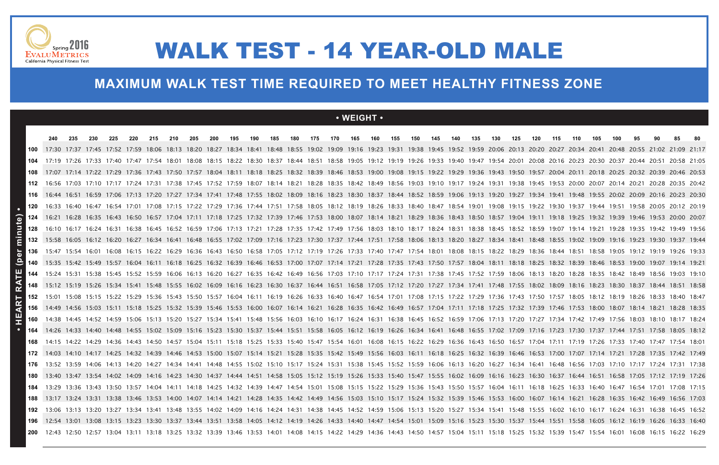

### **MAXIMUM WALK TEST TIME REQUIRED TO MEET HEALTHY FITNESS ZONE**

### **• WEIGHT •**

|              | 240                                                                                                                                                                                                                    | 235 | 230 | 225 | 220 | 215 | 210 | 205 | 200 | 195 | 190 | 185 | 180 | 175 | 170 | 165 | 160 | 155 | 150 | 145                                                                                                                                                                                                   | 140 | 135 | 130 | 125 | 120 | 115 | 110 | 105 | 100 | 95 |                               |  |
|--------------|------------------------------------------------------------------------------------------------------------------------------------------------------------------------------------------------------------------------|-----|-----|-----|-----|-----|-----|-----|-----|-----|-----|-----|-----|-----|-----|-----|-----|-----|-----|-------------------------------------------------------------------------------------------------------------------------------------------------------------------------------------------------------|-----|-----|-----|-----|-----|-----|-----|-----|-----|----|-------------------------------|--|
|              | 17:30 17:37 17:45 17:52 17:59 18:06 18:13 18:20 18:27 18:34 18:41 18:48 18:55 19:02 19:09 19:16 19:23 19:31 19:38 19:45 19:52 19:59 20:06 20:13 20:20 20:27 20:34 20:41                                                |     |     |     |     |     |     |     |     |     |     |     |     |     |     |     |     |     |     |                                                                                                                                                                                                       |     |     |     |     |     |     |     |     |     |    | 20:48 20:55 21:02 21:09 21:17 |  |
|              | 17:19 17:26 17:33 17:40 17:47 17:54 18:01 18:08 18:15 18:22 18:30 18:37 18:44 18:51 18:58 19:05 19:12 19:19 19:26 19:33 19:40 19:47 19:54 20:01 20:08 20:16 20:23 20:30 20:37 20:44 20:51 20:58 21:05                  |     |     |     |     |     |     |     |     |     |     |     |     |     |     |     |     |     |     |                                                                                                                                                                                                       |     |     |     |     |     |     |     |     |     |    |                               |  |
|              | 17:07 17:14 17:22 17:29 17:36 17:43 17:50 17:57 18:04 18:11 18:18 18:25 18:32 18:39 18:46 18:53 19:00 19:08 19:15 19:22 19:29 19:36 19:43 19:50 19:57 20:04 20:11 20:18 20:25 20:32 20:39 20:46 20:53                  |     |     |     |     |     |     |     |     |     |     |     |     |     |     |     |     |     |     |                                                                                                                                                                                                       |     |     |     |     |     |     |     |     |     |    |                               |  |
|              | 16:56 17:03 17:10 17:17 17:24 17:31 17:38 17:45 17:52 17:59 18:07 18:14 18:21 18:28 18:35 18:42 18:49 18:56 19:03 19:10 19:17 19:24 19:31 19:38 19:45 19:53 20:00 20:07 20:14 20:21 20:28 20:35 20:42                  |     |     |     |     |     |     |     |     |     |     |     |     |     |     |     |     |     |     |                                                                                                                                                                                                       |     |     |     |     |     |     |     |     |     |    |                               |  |
|              |                                                                                                                                                                                                                        |     |     |     |     |     |     |     |     |     |     |     |     |     |     |     |     |     |     | 16:59 17:06 17:13 17:20 17:27 17:34 17:41 17:48 17:55 18:02 18:09 18:16 18:23 18:30 18:37 18:44 18:52 18:59 19:06 19:13 19:20 19:27 19:34 19:41 19:48 19:55 20:02 20:09 20:16 20:23 20:30             |     |     |     |     |     |     |     |     |     |    |                               |  |
| 120          | 16:33 16:40 16:47 16:54 17:01 17:08 17:15 17:22 17:29 17:36 17:44 17:51 17:58 18:05 18:12 18:19 18:26 18:33 18:40 18:47 18:54 19:01 19:08 19:15 19:22 19:30 19:37 19:44 19:51 19:58 20:05 20:12 20:19                  |     |     |     |     |     |     |     |     |     |     |     |     |     |     |     |     |     |     |                                                                                                                                                                                                       |     |     |     |     |     |     |     |     |     |    |                               |  |
| 124          | 16:21 16:28 16:35 16:43 16:50 16:57 17:04 17:11 17:18 17:25 17:32 17:39 17:46 17:53 18:00 18:07 18:14 18:21 18:29 18:36 18:43 18:50 18:57 19:04 19:11 19:18 19:25 19:32 19:39 19:46 19:53 20:00 20:07                  |     |     |     |     |     |     |     |     |     |     |     |     |     |     |     |     |     |     |                                                                                                                                                                                                       |     |     |     |     |     |     |     |     |     |    |                               |  |
| nute)<br>128 | 16:10 16:17 16:24 16:31 16:38 16:45 16:52 16:59 17:06 17:13 17:21 17:28 17:35 17:42 17:42 17:56 18:03 18:10 18:17 18:24 18:31 18:38 18:45 18:52 18:59 19:07 19:14 19:21 19:28 19:35 19:42 19:49 19:56                  |     |     |     |     |     |     |     |     |     |     |     |     |     |     |     |     |     |     |                                                                                                                                                                                                       |     |     |     |     |     |     |     |     |     |    |                               |  |
| Ē            | 15:58 16:05 16:12 16:20 16:27 16:34 16:41 16:48 16:55 17:02 17:09 17:16 17:23 17:30 17:37 17:44 17:51 17:58 18:06 18:13 18:20 18:27 18:34 18:41 18:48 18:55 19:02 19:09 19:16 19:23 19:30 19:37 19:44                  |     |     |     |     |     |     |     |     |     |     |     |     |     |     |     |     |     |     |                                                                                                                                                                                                       |     |     |     |     |     |     |     |     |     |    |                               |  |
|              | 15:47 15:54 16:01 16:08 16:15 16:22 16:29 16:36 16:43 16:50 16:58 17:05 17:12 17:19 17:26 17:33 17:40 17:47 17:54 18:01 18:08 18:15 18:22 18:29 18:36 18:44 18:51 18:58 19:05 19:12 19:12 19:19 19:26 19:33            |     |     |     |     |     |     |     |     |     |     |     |     |     |     |     |     |     |     |                                                                                                                                                                                                       |     |     |     |     |     |     |     |     |     |    |                               |  |
| ݝ            | 15:35 15:42 15:49 15:57 16:04 16:11 16:18 16:25 16:32 16:39 16:46 16:53 17:00 17:07 17:14 17:21 17:28 17:35 17:43 17:50 17:57 18:04 18:11 18:18 18:25 18:39 18:46 18:53 19:00 19:07 19:14 19:2                         |     |     |     |     |     |     |     |     |     |     |     |     |     |     |     |     |     |     |                                                                                                                                                                                                       |     |     |     |     |     |     |     |     |     |    |                               |  |
| щ<br>144     | 15:24 15:31 15:38 15:45 15:52 15:59 16:06 16:13 16:20 16:27 16:35 16:42 16:49 16:56 17:03 17:10 17:17 17:24 17:31 17:38 17:45 17:52 17:59 18:06 18:13 18:20 18:28 18:42 18:42 18:49 18:56 19:03 19:10                  |     |     |     |     |     |     |     |     |     |     |     |     |     |     |     |     |     |     |                                                                                                                                                                                                       |     |     |     |     |     |     |     |     |     |    |                               |  |
|              | 15:12 15:19 15:26 15:34 15:41 15:48 15:55 16:02 16:09 16:16 16:23 16:30 16:37 16:44 16:51 16:58 17:05 17:12 17:20 17:27 17:34 17:41 17:48 17:55 18:02 18:09 18:16 18:23 18:30 18:37                                    |     |     |     |     |     |     |     |     |     |     |     |     |     |     |     |     |     |     |                                                                                                                                                                                                       |     |     |     |     |     |     |     |     |     |    |                               |  |
|              | 15:01 15:08 15:15 15:22 15:29 15:36 15:43 15:50 15:57 16:04 16:11 16:19 16:26 16:33 16:40 16:47 16:54 17:01 17:08 17:15 17:22 17:29 17:36 17:43 17:50 17:57 18:05 18:12 18:19 18:26 18:33 18:40 18:41                  |     |     |     |     |     |     |     |     |     |     |     |     |     |     |     |     |     |     |                                                                                                                                                                                                       |     |     |     |     |     |     |     |     |     |    |                               |  |
|              | 14:49 14:56 15:03 15:11 15:18 15:25 15:32 15:39 15:46 15:53 16:00 16:07 16:14 16:21 16:28 16:35 16:42 16:49 16:57 17:04 17:11 17:18 17:25 17:32 17:39 17:46 17:53 18:00 18:07 18:14 18:21 18:28 18:35                  |     |     |     |     |     |     |     |     |     |     |     |     |     |     |     |     |     |     |                                                                                                                                                                                                       |     |     |     |     |     |     |     |     |     |    |                               |  |
|              | 14:38 14:45 14:52 14:59 15:06 15:13 15:20 15:27 15:34 15:41 15:48 15:56 16:03 16:10 16:17 16:24 16:31 16:38 16:45 16:52 16:59 17:06 17:13 17:20 17:27 17:34 17:49 17:49 17:56 18:03 18:10 18:17 18:24                  |     |     |     |     |     |     |     |     |     |     |     |     |     |     |     |     |     |     |                                                                                                                                                                                                       |     |     |     |     |     |     |     |     |     |    |                               |  |
|              | 14:26 14:33 14:40 14:48 14:55 15:02 15:09 15:16 15:23 15:30 15:37 15:44 15:51 15:58 16:05 16:12 16:19 16:26 16:34 16:41 16:48 16:55 17:02 17:09 17:16 17:23 17:30 17:37 17:44 17:51 17:58 18:05 18:12                  |     |     |     |     |     |     |     |     |     |     |     |     |     |     |     |     |     |     |                                                                                                                                                                                                       |     |     |     |     |     |     |     |     |     |    |                               |  |
|              | 14:15 14:22 14:29 14:36 14:43 14:50 14:57 15:04 15:11 15:18 15:25 15:33 15:40 15:47 15:54 16:01 16:08 16:15 16:22 16:29 16:36 16:43 16:50 16:57 17:04 17:11 17:19 17:26 17:33 17:40 17:47                              |     |     |     |     |     |     |     |     |     |     |     |     |     |     |     |     |     |     |                                                                                                                                                                                                       |     |     |     |     |     |     |     |     |     |    |                               |  |
|              | 14:03 14:10 14:17 14:25 14:32 14:39 14:46 14:53 15:00 15:07 15:14 15:21 15:28 15:35 15:42 15:49 15:56 16:03 16:11 16:18 16:25 16:32 16:39 16:46 16:53 17:00 17:07 17:14 17:21 17:28 17:35 17:42 17:42                  |     |     |     |     |     |     |     |     |     |     |     |     |     |     |     |     |     |     |                                                                                                                                                                                                       |     |     |     |     |     |     |     |     |     |    |                               |  |
|              |                                                                                                                                                                                                                        |     |     |     |     |     |     |     |     |     |     |     |     |     |     |     |     |     |     | 13:52 13:59 14:06 14:13 14:20 14:27 14:34 14:41 14:48 14:55 15:02 15:10 15:17 15:24 15:31 15:38 15:45 15:52 15:59 16:06 16:13 16:20 16:27 16:34 16:41 16:48 16:56 17:03 17:10 17:17 17:24 17:31 17:38 |     |     |     |     |     |     |     |     |     |    |                               |  |
|              | 13:40 13:47 13:54 14:02 14:09 14:16 14:23 14:30 14:37 14:44 14:51 14:58 15:05 15:12 15:19 15:26 15:33 15:40 15:47 15:55 16:02 16:09 16:16 16:23 16:30 16:37 16:44 16:51 16:58 17:05 17:12 17:19 17:26                  |     |     |     |     |     |     |     |     |     |     |     |     |     |     |     |     |     |     |                                                                                                                                                                                                       |     |     |     |     |     |     |     |     |     |    |                               |  |
| 184          | 13:29 13:36 13:43 13:50 13:57 14:04 14:11 14:18 14:25 14:32 14:39 14:47 14:54 15:01 15:08 15:15 15:22 15:29 15:36 15:43 15:50 15:57 16:04 16:11 16:18 16:25 16:33 16:40 16:47 16:54 17:01 17:08 17:15                  |     |     |     |     |     |     |     |     |     |     |     |     |     |     |     |     |     |     |                                                                                                                                                                                                       |     |     |     |     |     |     |     |     |     |    |                               |  |
|              | 13:17 13:24 13:31 13:38 13:46 13:53 14:00 14:07 14:14 14:21 14:28 14:35 14:42 14:49 14:56 15:03 15:10 15:17 15:24 15:32 15:39 15:46 15:53 16:00 16:07 16:14 16:21 16:28 16:35 16:42 16:42 16:42 16:49 16:56 17:03      |     |     |     |     |     |     |     |     |     |     |     |     |     |     |     |     |     |     |                                                                                                                                                                                                       |     |     |     |     |     |     |     |     |     |    |                               |  |
| 192          | 13:06 13:13 13:20 13:27 13:34 13:41 13:48 13:55 14:02 14:09 14:16 14:24 14:31 14:38 14:45 14:52 14:59 15:06 15:13 15:20 15:27 15:34 15:41 15:48 15:55 16:02 16:10 16:17 16:24 16:31 16:38 16:45 16:52                  |     |     |     |     |     |     |     |     |     |     |     |     |     |     |     |     |     |     |                                                                                                                                                                                                       |     |     |     |     |     |     |     |     |     |    |                               |  |
|              | <b>196</b> 12:54 13:01 13:08 13:15 13:23 13:30 13:37 13:44 13:51 13:58 14:05 14:12 14:12 14:19 14:26 14:33 14:40 14:47 14:54 15:00 15:16 15:23 15:30 15:37 15:44 15:51 15:58 16:05 16:12 16:12 16:19 16:26 16:33 16:40 |     |     |     |     |     |     |     |     |     |     |     |     |     |     |     |     |     |     |                                                                                                                                                                                                       |     |     |     |     |     |     |     |     |     |    |                               |  |
|              | <b>200</b> 12:43 12:50 12:57 13:04 13:11 13:18 13:25 13:32 13:39 13:46 13:53 14:01 14:08 14:15 14:22 14:29 14:36 14:43 14:50 14:57 15:04 15:11 15:18 15:25 15:32 15:39 15:47 15:54 16:01 16:08 16:15 16:22 16:29       |     |     |     |     |     |     |     |     |     |     |     |     |     |     |     |     |     |     |                                                                                                                                                                                                       |     |     |     |     |     |     |     |     |     |    |                               |  |

# WALK TEST - 14 YEAR-OLD MALE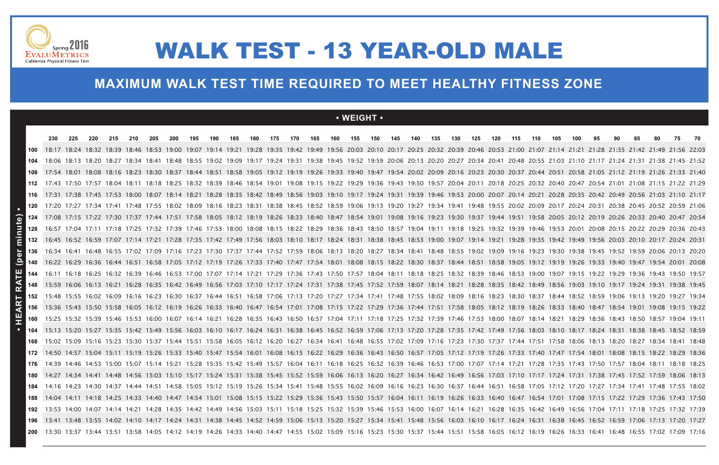### **• WEIGHT •**

|                                  | 230                                                                                                                                                                                                             | 225 | 220 | 215 | 210 | 205 | 200 | 195 | 190 | 185 | 180 | 175 | 170 | 165 | 160 | 155 | 150 | 145 | 140 | 135 | 130 | 125 | 120 | 115 | 110 | 105 | 100 | 95 | 90 | 85 | 80 | 75 | - 70 |
|----------------------------------|-----------------------------------------------------------------------------------------------------------------------------------------------------------------------------------------------------------------|-----|-----|-----|-----|-----|-----|-----|-----|-----|-----|-----|-----|-----|-----|-----|-----|-----|-----|-----|-----|-----|-----|-----|-----|-----|-----|----|----|----|----|----|------|
| 100                              | 18:17 18:24 18:32 18:39 18:46 18:53 19:00 19:07 19:14 19:21 19:28 19:35 19:42 19:49 19:56 20:03 20:10 20:17 20:25 20:32 20:39 20:46 20:53 21:00 21:07 21:14 21:21 21:28 21:35 21:42 21:49 21:56 22:03           |     |     |     |     |     |     |     |     |     |     |     |     |     |     |     |     |     |     |     |     |     |     |     |     |     |     |    |    |    |    |    |      |
|                                  | 18:06 18:13 18:20 18:27 18:34 18:41 18:48 18:55 19:02 19:09 19:17 19:24 19:31 19:38 19:45 19:52 19:59 20:06 20:13 20:20 20:27 20:34 20:41 20:48 20:55 21:03 21:10 21:17 21:24 21:31 21:38 21:45 21:52           |     |     |     |     |     |     |     |     |     |     |     |     |     |     |     |     |     |     |     |     |     |     |     |     |     |     |    |    |    |    |    |      |
|                                  | 17:54 18:01 18:08 18:16 18:23 18:30 18:37 18:44 18:51 18:58 19:05 19:12 19:12 19:19 19:26 19:33 19:40 19:47 19:54 20:02 20:09 20:16 20:23 20:30 20:37 20:44 20:51 20:58 21:05 21:12 21:19 21:26 21:33 21:40     |     |     |     |     |     |     |     |     |     |     |     |     |     |     |     |     |     |     |     |     |     |     |     |     |     |     |    |    |    |    |    |      |
|                                  | 17:43 17:50 17:57 18:04 18:11 18:18 18:25 18:32 18:39 18:46 18:54 19:01 19:08 19:15 19:22 19:29 19:36 19:43 19:50 19:57 20:04 20:11 20:18 20:25 20:32 20:40 20:47 20:54 21:01 21:08 21:15 21:22 21:29           |     |     |     |     |     |     |     |     |     |     |     |     |     |     |     |     |     |     |     |     |     |     |     |     |     |     |    |    |    |    |    |      |
|                                  | 116 17:31 17:38 17:45 17:53 18:00 18:07 18:14 18:21 18:28 18:35 18:42 18:49 18:56 19:03 19:10 19:17 19:24 19:31 19:39 19:46 19:53 20:00 20:07 20:14 20:21 20:28 20:35 20:42 20:42 20:49 20:56 21:03 21:10 21:17 |     |     |     |     |     |     |     |     |     |     |     |     |     |     |     |     |     |     |     |     |     |     |     |     |     |     |    |    |    |    |    |      |
|                                  | 17:20 17:27 17:34 17:41 17:48 17:55 18:02 18:09 18:16 18:23 18:31 18:38 18:45 18:52 18:59 19:06 19:13 19:20 19:27 19:34 19:41 19:48 19:55 20:02 20:09 20:17 20:24 20:31 20:38 20:45 20:52 20:59 21:06           |     |     |     |     |     |     |     |     |     |     |     |     |     |     |     |     |     |     |     |     |     |     |     |     |     |     |    |    |    |    |    |      |
| te)<br>124                       | 17:08 17:15 17:22 17:30 17:37 17:44 17:51 17:58 18:05 18:12 18:19 18:26 18:33 18:40 18:47 18:54 19:01 19:08 19:16 19:23 19:30 19:37 19:44 19:51 19:58 20:05 20:12 20:19 20:26 20:33 20:40 20:47 20:54           |     |     |     |     |     |     |     |     |     |     |     |     |     |     |     |     |     |     |     |     |     |     |     |     |     |     |    |    |    |    |    |      |
| nu<br>128                        | 16:57 17:04 17:11 17:18 17:25 17:32 17:39 17:46 17:53 18:00 18:08 18:15 18:22 18:29 18:36 18:43 18:50 18:57 19:04 19:11 19:18 19:25 19:32 19:39 19:46 19:53 20:01 20:08 20:15 20:22 20:29 20:36 20:43           |     |     |     |     |     |     |     |     |     |     |     |     |     |     |     |     |     |     |     |     |     |     |     |     |     |     |    |    |    |    |    |      |
| $\overline{\overline{\epsilon}}$ | 16:45 16:52 16:59 17:07 17:14 17:21 17:28 17:35 17:42 17:49 17:56 18:03 18:10 18:17 18:24 18:31 18:38 18:45 18:53 19:00 19:07 19:14 19:21 19:28 19:35 19:49 19:56 20:03 20:10 20:17 20:24 20:31                 |     |     |     |     |     |     |     |     |     |     |     |     |     |     |     |     |     |     |     |     |     |     |     |     |     |     |    |    |    |    |    |      |
| $\overline{\mathbf{a}}$          | 16:34 16:41 16:48 16:55 17:02 17:09 17:16 17:23 17:30 17:37 17:44 17:52 17:59 18:06 18:13 18:20 18:27 18:34 18:41 18:48 18:55 19:02 19:09 19:16 19:23 19:30 19:38 19:45 19:52 19:59 20:06 20:13 20:20           |     |     |     |     |     |     |     |     |     |     |     |     |     |     |     |     |     |     |     |     |     |     |     |     |     |     |    |    |    |    |    |      |
| $ \tilde{\textbf{e}} $           | 140 16:22 16:29 16:36 16:44 16:51 16:58 17:05 17:12 17:19 17:26 17:33 17:40 17:47 17:54 18:01 18:08 18:15 18:22 18:30 18:37 18:44 18:51 18:58 19:05 19:12 19:19 19:26 19:33 19:40 19:47 19:54 20:01 20:08       |     |     |     |     |     |     |     |     |     |     |     |     |     |     |     |     |     |     |     |     |     |     |     |     |     |     |    |    |    |    |    |      |
| 144                              | 16:11 16:18 16:25 16:32 16:39 16:46 16:53 17:00 17:07 17:14 17:21 17:29 17:36 17:43 17:50 17:57 18:04 18:11 18:18 18:25 18:32 18:39 18:46 18:53 19:00 19:07 19:15 19:22 19:29 19:36 19:43 19:50 19:57           |     |     |     |     |     |     |     |     |     |     |     |     |     |     |     |     |     |     |     |     |     |     |     |     |     |     |    |    |    |    |    |      |
|                                  | 148 15:59 16:06 16:13 16:21 16:28 16:35 16:42 16:49 16:56 17:03 17:10 17:17 17:24 17:31 17:38 17:45 17:52 17:59 18:07 18:14 18:21 18:28 18:35 18:42 18:49 18:56 19:03 19:10 19:17 19:24 19:31 19:38 19:45       |     |     |     |     |     |     |     |     |     |     |     |     |     |     |     |     |     |     |     |     |     |     |     |     |     |     |    |    |    |    |    |      |
|                                  | 152 15:48 15:55 16:02 16:09 16:16 16:23 16:30 16:37 16:44 16:51 16:58 17:06 17:13 17:20 17:27 17:34 17:41 17:48 17:55 18:02 18:09 18:16 18:23 18:30 18:37 18:44 18:52 18:59 19:06 19:13 19:20 19:27 19:34       |     |     |     |     |     |     |     |     |     |     |     |     |     |     |     |     |     |     |     |     |     |     |     |     |     |     |    |    |    |    |    |      |
| ∢                                | 156 15:36 15:43 15:50 15:58 16:05 16:12 16:19 16:26 16:33 16:40 16:47 16:54 17:01 17:08 17:15 17:22 17:29 17:36 17:44 17:51 17:58 18:05 18:12 18:19 18:26 18:33 18:40 18:47 18:54 19:01 19:08 19:15 19:22       |     |     |     |     |     |     |     |     |     |     |     |     |     |     |     |     |     |     |     |     |     |     |     |     |     |     |    |    |    |    |    |      |
| 9<br>160                         | 15:25 15:32 15:39 15:46 15:53 16:00 16:07 16:14 16:21 16:28 16:35 16:43 16:50 16:57 17:04 17:11 17:18 17:25 17:32 17:39 17:46 17:53 18:00 18:07 18:14 18:21 18:29 18:36 18:43 18:50 18:57 19:04 19:11           |     |     |     |     |     |     |     |     |     |     |     |     |     |     |     |     |     |     |     |     |     |     |     |     |     |     |    |    |    |    |    |      |
|                                  | 15:13 15:20 15:27 15:35 15:42 15:49 15:56 16:03 16:10 16:17 16:24 16:31 16:38 16:45 16:52 16:59 17:06 17:13 17:20 17:28 17:35 17:42 17:49 17:56 18:03 18:10 18:17 18:24 18:31 18:38 18:45 18:52 18:59           |     |     |     |     |     |     |     |     |     |     |     |     |     |     |     |     |     |     |     |     |     |     |     |     |     |     |    |    |    |    |    |      |
| 168                              | 15:02 15:09 15:16 15:23 15:30 15:37 15:44 15:51 15:58 16:05 16:12 16:20 16:27 16:34 16:41 16:48 16:55 17:02 17:09 17:16 17:23 17:30 17:37 17:44 17:51 17:58 18:06 18:13 18:20 18:27 18:34 18:41 18:48           |     |     |     |     |     |     |     |     |     |     |     |     |     |     |     |     |     |     |     |     |     |     |     |     |     |     |    |    |    |    |    |      |
|                                  | 14:50 14:57 15:04 15:11 15:19 15:26 15:33 15:40 15:47 15:54 16:01 16:08 16:15 16:22 16:29 16:36 16:43 16:50 16:57 17:05 17:12 17:19 17:26 17:33 17:40 17:47 17:54 18:01 18:08 18:15 18:22 18:29 18:36           |     |     |     |     |     |     |     |     |     |     |     |     |     |     |     |     |     |     |     |     |     |     |     |     |     |     |    |    |    |    |    |      |
|                                  | 14:39 14:46 14:53 15:00 15:07 15:14 15:21 15:28 15:35 15:42 15:42 15:57 16:04 16:11 16:18 16:25 16:32 16:39 16:46 16:53 17:00 17:07 17:14 17:21 17:28 17:35 17:43 17:50 17:57 18:04 18:11 18:18 18:25           |     |     |     |     |     |     |     |     |     |     |     |     |     |     |     |     |     |     |     |     |     |     |     |     |     |     |    |    |    |    |    |      |
|                                  | 14:27 14:34 14:41 14:48 14:56 15:03 15:10 15:17 15:24 15:31 15:38 15:45 15:52 15:59 16:06 16:13 16:20 16:27 16:34 16:42 16:49 16:56 17:03 17:10 17:17 17:24 17:31 17:38 17:45 17:52 17:59 18:06 18:13           |     |     |     |     |     |     |     |     |     |     |     |     |     |     |     |     |     |     |     |     |     |     |     |     |     |     |    |    |    |    |    |      |
| 184                              | 14:16 14:23 14:30 14:37 14:44 14:51 14:58 15:05 15:12 15:19 15:26 15:34 15:41 15:48 15:55 16:02 16:09 16:16 16:23 16:30 16:37 16:44 16:51 16:58 17:05 17:12 17:20 17:27 17:34 17:41 17:48 17:55 18:02           |     |     |     |     |     |     |     |     |     |     |     |     |     |     |     |     |     |     |     |     |     |     |     |     |     |     |    |    |    |    |    |      |
|                                  | 14:04 14:11 14:18 14:25 14:33 14:40 14:47 14:54 15:01 15:08 15:15 15:22 15:29 15:36 15:43 15:50 15:57 16:04 16:11 16:19 16:26 16:33 16:40 16:47 16:54 17:01 17:08 17:15 17:22 17:29 17:36 17:43 17:50           |     |     |     |     |     |     |     |     |     |     |     |     |     |     |     |     |     |     |     |     |     |     |     |     |     |     |    |    |    |    |    |      |
|                                  | 13:53 14:00 14:07 14:14 14:21 14:28 14:35 14:42 14:49 14:56 15:03 15:11 15:18 15:25 15:32 15:39 15:46 15:53 16:00 16:07 16:14 16:21 16:28 16:35 16:42 16:49 16:56 17:04 17:11 17:18 17:25 17:32 17:39           |     |     |     |     |     |     |     |     |     |     |     |     |     |     |     |     |     |     |     |     |     |     |     |     |     |     |    |    |    |    |    |      |
|                                  | 13:41 13:48 13:55 14:02 14:10 14:17 14:24 14:31 14:38 14:45 14:52 14:59 15:06 15:13 15:20 15:27 15:34 15:41 15:48 15:56 16:03 16:10 16:17 16:24 16:31 16:38 16:45 16:52 16:59 17:06 17:13 17:20 17:20           |     |     |     |     |     |     |     |     |     |     |     |     |     |     |     |     |     |     |     |     |     |     |     |     |     |     |    |    |    |    |    |      |
|                                  | 200 13:30 13:37 13:44 13:51 13:58 14:05 14:12 14:19 14:26 14:33 14:40 14:47 14:55 15:02 15:16 15:23 15:30 15:37 15:44 15:51 15:58 16:05 16:12 16:19 16:26 16:33 16:41 16:48 16:55 17:02 17:09 17:16             |     |     |     |     |     |     |     |     |     |     |     |     |     |     |     |     |     |     |     |     |     |     |     |     |     |     |    |    |    |    |    |      |



# WALK TEST - 13 YEAR-OLD MALE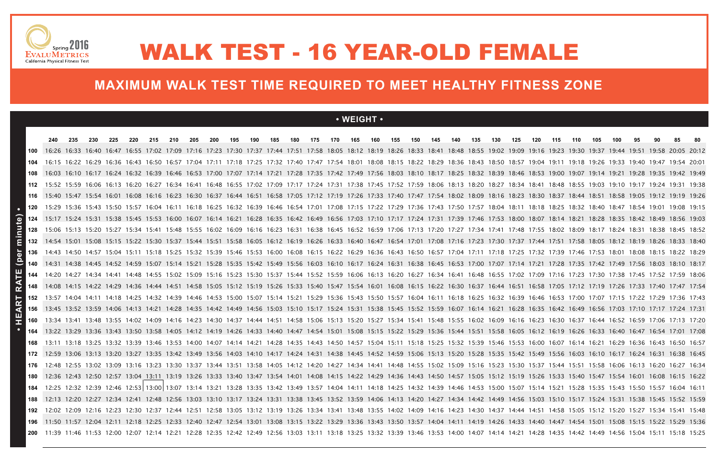### **• WEIGHT •**

|                        | 240 | 235 | 230 | 225 | 220 | 215 | 210 | 205 | 200 | 195 | 190 | 185 | 180 | 175 | 170 | 165 | 160 | 155 | 150 | 145 | 140 | 135 | 130                                                                                                                                                                                                             | 125 | 120 | 115 | 110 | 105 | 100 | 95 | 90 | 85                | -80 |
|------------------------|-----|-----|-----|-----|-----|-----|-----|-----|-----|-----|-----|-----|-----|-----|-----|-----|-----|-----|-----|-----|-----|-----|-----------------------------------------------------------------------------------------------------------------------------------------------------------------------------------------------------------------|-----|-----|-----|-----|-----|-----|----|----|-------------------|-----|
| 100                    |     |     |     |     |     |     |     |     |     |     |     |     |     |     |     |     |     |     |     |     |     |     | 16:26 16:33 16:40 16:47 16:55 17:02 17:09 17:16 17:23 17:30 17:37 17:44 17:51 17:58 18:05 18:12 18:19 18:26 18:33 18:41 18:48 18:55 19:02 19:09 19:16 19:23 19:30 19:37 19:44 19:51                             |     |     |     |     |     |     |    |    | 19:58 20:05 20:12 |     |
|                        |     |     |     |     |     |     |     |     |     |     |     |     |     |     |     |     |     |     |     |     |     |     | 16:15 16:22 16:22 16:29 16:36 16:43 16:50 16:57 17:04 17:11 17:18 17:25 17:32 17:40 17:47 17:54 18:01 18:08 18:15 18:22 18:29 18:36 18:43 18:50 18:57 19:04 19:11 19:18 19:26 19:33 19:40 19:47 19:54 20:01     |     |     |     |     |     |     |    |    |                   |     |
|                        |     |     |     |     |     |     |     |     |     |     |     |     |     |     |     |     |     |     |     |     |     |     | 16:03 16:10 16:17 16:24 16:32 16:39 16:46 16:53 17:00 17:07 17:14 17:21 17:28 17:35 17:42 17:49 17:56 18:03 18:10 18:17 18:25 18:32 18:39 18:46 18:53 19:00 19:07 19:14 19:21 19:28 19:42 19:42 19:42           |     |     |     |     |     |     |    |    |                   |     |
| 112                    |     |     |     |     |     |     |     |     |     |     |     |     |     |     |     |     |     |     |     |     |     |     | 15:52 15:59 16:06 16:13 16:20 16:27 16:34 16:41 16:48 16:55 17:02 17:09 17:17 17:24 17:31 17:38 17:45 17:52 17:59 18:06 18:13 18:20 18:27 18:34 18:41 18:48 18:55 19:03 19:10 19:17 19:24 19:31 19:38           |     |     |     |     |     |     |    |    |                   |     |
|                        |     |     |     |     |     |     |     |     |     |     |     |     |     |     |     |     |     |     |     |     |     |     | 10 15:40 15:47 15:54 16:01 16:08 16:16 16:23 16:30 16:37 16:44 16:51 16:58 17:05 17:12 17:19 17:26 17:33 17:40 17:47 17:54 18:02 18:09 18:16 18:23 18:30 18:37 18:44 18:51 18:58 19:05 19:12 19:19 19:26        |     |     |     |     |     |     |    |    |                   |     |
|                        |     |     |     |     |     |     |     |     |     |     |     |     |     |     |     |     |     |     |     |     |     |     | 15:29 15:36 15:43 15:50 15:57 16:04 16:11 16:18 16:25 16:32 16:39 16:46 16:54 17:01 17:08 17:15 17:22 17:29 17:36 17:43 17:50 17:57 18:04 18:11 18:18 18:25 18:32 18:40 18:47 18:54 19:01 19:08 19:15           |     |     |     |     |     |     |    |    |                   |     |
| 124                    |     |     |     |     |     |     |     |     |     |     |     |     |     |     |     |     |     |     |     |     |     |     | 15:17 15:24 15:31 15:38 15:45 15:53 16:00 16:07 16:14 16:21 16:28 16:42 16:49 16:56 17:03 17:10 17:17 17:24 17:31 17:39 17:46 17:53 18:00 18:07 18:14 18:21 18:28 18:35 18:42 18:49 18:56 19:03                 |     |     |     |     |     |     |    |    |                   |     |
| nute)<br>128           |     |     |     |     |     |     |     |     |     |     |     |     |     |     |     |     |     |     |     |     |     |     | 15:06 15:13 15:20 15:27 15:34 15:41 15:48 15:55 16:02 16:09 16:16 16:23 16:31 16:38 16:45 16:52 16:59 17:06 17:13 17:20 17:27 17:34 17:41 17:48 17:55 18:02 18:09 18:17 18:24 18:31 18:38 18:45 18:52           |     |     |     |     |     |     |    |    |                   |     |
| $\bar{\bar{\epsilon}}$ |     |     |     |     |     |     |     |     |     |     |     |     |     |     |     |     |     |     |     |     |     |     | 132 14:54 15:01 15:08 15:15 15:22 15:30 15:37 15:44 15:51 15:58 16:05 16:12 16:19 16:26 16:33 16:40 16:47 16:54 17:01 17:08 17:16 17:23 17:30 17:37 17:44 17:51 17:58 18:05 18:12 18:19 18:26 18:33 18:40       |     |     |     |     |     |     |    |    |                   |     |
| 136                    |     |     |     |     |     |     |     |     |     |     |     |     |     |     |     |     |     |     |     |     |     |     | 14:43 14:50 14:57 15:04 15:11 15:18 15:25 15:32 15:39 15:46 15:53 16:00 16:08 16:15 16:22 16:29 16:36 16:43 16:50 16:57 17:04 17:11 17:18 17:25 17:32 17:39 17:46 17:53 18:01 18:08 18:15 18:22 18:29           |     |     |     |     |     |     |    |    |                   |     |
| $\tilde{\mathbf{e}}$   |     |     |     |     |     |     |     |     |     |     |     |     |     |     |     |     |     |     |     |     |     |     | 140 14:31 14:38 14:45 14:52 14:59 15:07 15:14 15:21 15:28 15:35 15:42 15:42 15:49 15:56 16:03 16:10 16:17 16:24 16:31 16:38 16:45 16:53 17:00 17:07 17:14 17:21 17:28 17:35 17:42 17:49 17:56 18:03 18:10 18:17 |     |     |     |     |     |     |    |    |                   |     |
| 띡<br>144               |     |     |     |     |     |     |     |     |     |     |     |     |     |     |     |     |     |     |     |     |     |     | 14:20 14:27 14:34 14:41 14:48 14:55 15:02 15:09 15:16 15:23 15:30 15:37 15:44 15:52 15:59 16:06 16:13 16:20 16:27 16:34 16:41 16:48 16:55 17:02 17:09 17:16 17:23 17:30 17:38 17:45 17:52 17:59 18:06           |     |     |     |     |     |     |    |    |                   |     |
|                        |     |     |     |     |     |     |     |     |     |     |     |     |     |     |     |     |     |     |     |     |     |     | 148 14:08 14:15 14:22 14:29 14:36 14:44 14:51 14:58 15:05 15:12 15:19 15:26 15:33 15:40 15:47 15:54 16:01 16:08 16:15 16:22 16:30 16:37 16:44 16:51 16:58 17:05 17:12 17:19 17:26 17:33 17:40 17:47 17:54       |     |     |     |     |     |     |    |    |                   |     |
| 152                    |     |     |     |     |     |     |     |     |     |     |     |     |     |     |     |     |     |     |     |     |     |     | 13:57 14:04 14:11 14:18 14:25 14:32 14:39 14:46 14:53 15:00 15:07 15:14 15:21 15:29 15:36 15:43 15:50 15:57 16:04 16:11 16:18 16:25 16:32 16:39 16:46 16:53 17:00 17:07 17:15 17:22 17:29 17:36 17:43           |     |     |     |     |     |     |    |    |                   |     |
|                        |     |     |     |     |     |     |     |     |     |     |     |     |     |     |     |     |     |     |     |     |     |     | 156 13:45 13:52 13:59 14:06 14:13 14:21 14:28 14:35 14:42 14:49 14:56 15:03 15:10 15:17 15:24 15:31 15:38 15:45 15:52 15:59 16:07 16:14 16:21 16:28 16:35 16:42 16:49 16:56 17:03 17:10 17:17 17:24 17:31       |     |     |     |     |     |     |    |    |                   |     |
| 160                    |     |     |     |     |     |     |     |     |     |     |     |     |     |     |     |     |     |     |     |     |     |     | 13:34 13:41 13:48 13:55 14:02 14:09 14:16 14:23 14:30 14:37 14:44 14:51 14:58 15:06 15:13 15:20 15:27 15:34 15:48 15:55 16:02 16:09 16:16 16:23 16:30 16:37 16:44 16:52 16:59 17:06 17:13 17:20                 |     |     |     |     |     |     |    |    |                   |     |
| 164                    |     |     |     |     |     |     |     |     |     |     |     |     |     |     |     |     |     |     |     |     |     |     | 13:22 13:29 13:36 13:43 13:50 13:58 14:05 14:12 14:19 14:26 14:33 14:40 14:47 14:54 15:01 15:08 15:15 15:22 15:29 15:36 15:44 15:51 15:58 16:05 16:12 16:19 16:26 16:33 16:40 16:47 16:54 17:01 17:08           |     |     |     |     |     |     |    |    |                   |     |
| 168                    |     |     |     |     |     |     |     |     |     |     |     |     |     |     |     |     |     |     |     |     |     |     | 13:11 13:18 13:25 13:32 13:39 13:46 13:53 14:00 14:07 14:14 14:21 14:28 14:35 14:43 14:50 14:57 15:04 15:11 15:18 15:25 15:32 15:39 15:46 15:53 16:00 16:07 16:14 16:21 16:29 16:36 16:43 16:50 16:57           |     |     |     |     |     |     |    |    |                   |     |
|                        |     |     |     |     |     |     |     |     |     |     |     |     |     |     |     |     |     |     |     |     |     |     | 12:59 13:06 13:13 13:20 13:27 13:35 13:42 13:49 13:56 14:03 14:10 14:17 14:24 14:31 14:38 14:45 14:52 14:59 15:06 15:13 15:20 15:28 15:42 15:49 15:56 16:03 16:17 16:17 16:24 16:31 16:38 16:45                 |     |     |     |     |     |     |    |    |                   |     |
|                        |     |     |     |     |     |     |     |     |     |     |     |     |     |     |     |     |     |     |     |     |     |     | 12:48 12:55 13:02 13:09 13:16 13:23 13:30 13:37 13:44 13:51 13:58 14:05 14:12 14:20 14:27 14:34 14:41 14:48 14:55 15:02 15:10 15:23 15:30 15:37 15:44 15:51 15:58 16:06 16:13 16:20 16:27 16:34                 |     |     |     |     |     |     |    |    |                   |     |
|                        |     |     |     |     |     |     |     |     |     |     |     |     |     |     |     |     |     |     |     |     |     |     | 12:36 12:43 12:50 12:57 13:04 13:11 13:19 13:26 13:33 13:40 13:47 13:54 14:01 14:08 14:15 14:22 14:29 14:36 14:43 14:50 14:57 15:05 15:12 15:19 15:26 15:33 15:40 15:47 15:54 16:01 16:08 16:15 16:22           |     |     |     |     |     |     |    |    |                   |     |
| 184                    |     |     |     |     |     |     |     |     |     |     |     |     |     |     |     |     |     |     |     |     |     |     | 12:25 12:32 12:32 12:39 12:46 12:53 13:00 13:07 13:14 13:21 13:28 13:35 13:42 13:49 13:57 14:04 14:11 14:18 14:25 14:32 14:39 14:46 14:53 15:00 15:07 15:14 15:21 15:28 15:35 15:43 15:50 15:57 16:04 16:11     |     |     |     |     |     |     |    |    |                   |     |
|                        |     |     |     |     |     |     |     |     |     |     |     |     |     |     |     |     |     |     |     |     |     |     | 12:13 12:20 12:27 12:34 12:41 12:48 12:56 13:03 13:10 13:17 13:24 13:31 13:38 13:45 13:52 13:59 14:06 14:13 14:20 14:27 14:34 14:42 14:49 14:56 15:03 15:10 15:17 15:24 15:31 15:38 15:45 15:52 15:52           |     |     |     |     |     |     |    |    |                   |     |
|                        |     |     |     |     |     |     |     |     |     |     |     |     |     |     |     |     |     |     |     |     |     |     | 12:02 12:09 12:16 12:23 12:30 12:37 12:44 12:51 12:58 13:05 13:12 13:19 13:26 13:34 13:41 13:48 13:55 14:02 14:09 14:16 14:23 14:30 14:37 14:44 14:51 14:58 15:05 15:12 15:20 15:27 15:34 15:41 15:48           |     |     |     |     |     |     |    |    |                   |     |
|                        |     |     |     |     |     |     |     |     |     |     |     |     |     |     |     |     |     |     |     |     |     |     | 11:50 11:57 12:04 12:11 12:18 12:25 12:33 12:40 12:47 12:54 13:01 13:08 13:15 13:22 13:29 13:36 13:43 13:50 13:57 14:04 14:11 14:19 14:26 14:33 14:40 14:47 14:54 15:08 15:15 15:22 15:36                       |     |     |     |     |     |     |    |    |                   |     |
|                        |     |     |     |     |     |     |     |     |     |     |     |     |     |     |     |     |     |     |     |     |     |     | 200 11:39 11:46 11:53 12:00 12:07 12:14 12:21 12:28 12:35 12:42 12:49 12:56 13:03 13:11 13:18 13:25 13:32 13:39 13:46 13:53 14:00 14:07 14:14 14:21 14:28 14:42 14:49 14:49 14:56 15:04 15:11 15:18 15:25       |     |     |     |     |     |     |    |    |                   |     |





## WALK TEST - 16 YEAR-OLD FEMALE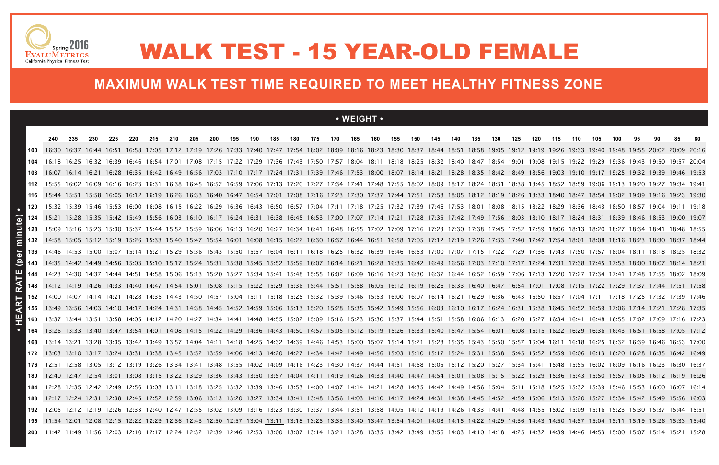### **• WEIGHT •**

|     | 240 | 235 | 230 | 225 | 220 | 215 | 210 | 205 | 200 | 195 | 190 | 185 | 180 | 175 | 170 | 165                                                                                                                                                                                                         | 160 | 155 | 150 | 145 | 140 | 135 | 130 | 125 | 120 | 115 | 110 | 105 | 100 | 95 | 90 | 85 | -80 |
|-----|-----|-----|-----|-----|-----|-----|-----|-----|-----|-----|-----|-----|-----|-----|-----|-------------------------------------------------------------------------------------------------------------------------------------------------------------------------------------------------------------|-----|-----|-----|-----|-----|-----|-----|-----|-----|-----|-----|-----|-----|----|----|----|-----|
| 100 |     |     |     |     |     |     |     |     |     |     |     |     |     |     |     | 16:30 16:37 16:44 16:51 16:58 17:05 17:12 17:19 17:26 17:33 17:40 17:47 17:54 18:02 18:09 18:16 18:23 18:30 18:37 18:44 18:51 18:58 19:05 19:19 19:26 19:33 19:40 19:48 19:55 20:02 20:09 20:16             |     |     |     |     |     |     |     |     |     |     |     |     |     |    |    |    |     |
| 104 |     |     |     |     |     |     |     |     |     |     |     |     |     |     |     | 16:18 16:25 16:32 16:32 16:39 16:46 16:54 17:01 17:08 17:15 17:22 17:29 17:36 17:43 17:50 17:57 18:04 18:11 18:18 18:25 18:32 18:40 18:47 18:54 19:01 19:08 19:15 19:22 19:29 19:36 19:43 19:50 19:57 20:04 |     |     |     |     |     |     |     |     |     |     |     |     |     |    |    |    |     |
|     |     |     |     |     |     |     |     |     |     |     |     |     |     |     |     | 16:07 16:14 16:21 16:28 16:35 16:42 16:49 16:56 17:03 17:10 17:17 17:24 17:31 17:39 17:46 17:53 18:00 18:07 18:14 18:21 18:28 18:35 18:42 18:49 18:56 19:03 19:10 19:17 19:25 19:32 19:39 19:46 19:53       |     |     |     |     |     |     |     |     |     |     |     |     |     |    |    |    |     |
| 112 |     |     |     |     |     |     |     |     |     |     |     |     |     |     |     | 15:55 16:02 16:09 16:16 16:23 16:31 16:38 16:45 16:52 16:59 17:06 17:13 17:20 17:27 17:34 17:41 17:48 17:55 18:02 18:09 18:17 18:24 18:31 18:38 18:45 18:52 19:06 19:13 19:20 19:27 19:34 19:41             |     |     |     |     |     |     |     |     |     |     |     |     |     |    |    |    |     |
|     |     |     |     |     |     |     |     |     |     |     |     |     |     |     |     | 10 15:44 15:51 15:58 16:05 16:12 16:19 16:26 16:33 16:40 16:47 16:54 17:01 17:08 17:16 17:23 17:30 17:37 17:44 17:51 17:58 18:05 18:12 18:19 18:26 18:33 18:40 18:47 18:54 19:02 19:09 19:16 19:23 19:30    |     |     |     |     |     |     |     |     |     |     |     |     |     |    |    |    |     |
|     |     |     |     |     |     |     |     |     |     |     |     |     |     |     |     | 120 15:32 15:39 15:46 15:53 16:00 16:08 16:15 16:22 16:29 16:36 16:43 16:50 16:57 17:04 17:11 17:18 17:25 17:32 17:39 17:46 17:53 18:01 18:08 18:15 18:22 18:29 18:43 18:50 18:57 19:04 19:11 19:18         |     |     |     |     |     |     |     |     |     |     |     |     |     |    |    |    |     |
|     |     |     |     |     |     |     |     |     |     |     |     |     |     |     |     | 124 15:21 15:28 15:35 15:42 15:49 15:56 16:03 16:10 16:17 16:24 16:31 16:38 16:45 16:53 17:00 17:07 17:14 17:21 17:28 17:35 17:42 17:49 17:56 18:03 18:10 18:17 18:24 18:31 18:39 18:46 18:53 19:00 19:07   |     |     |     |     |     |     |     |     |     |     |     |     |     |    |    |    |     |
| 128 |     |     |     |     |     |     |     |     |     |     |     |     |     |     |     | 15:09 15:16 15:23 15:30 15:37 15:44 15:52 15:59 16:06 16:13 16:20 16:27 16:34 16:41 16:48 16:55 17:02 17:09 17:16 17:23 17:30 17:38 17:45 17:52 17:59 18:06 18:13 18:20 18:27 18:34 18:41 18:48 18:55       |     |     |     |     |     |     |     |     |     |     |     |     |     |    |    |    |     |
|     |     |     |     |     |     |     |     |     |     |     |     |     |     |     |     | 132 14:58 15:05 15:12 15:19 15:26 15:33 15:40 15:47 15:54 16:01 16:08 16:15 16:22 16:30 16:37 16:44 16:51 16:58 17:05 17:12 17:19 17:26 17:33 17:40 17:47 17:54 18:01 18:08 18:16 18:23 18:30 18:37 18:44   |     |     |     |     |     |     |     |     |     |     |     |     |     |    |    |    |     |
|     |     |     |     |     |     |     |     |     |     |     |     |     |     |     |     | 136 14:46 14:53 15:00 15:07 15:14 15:21 15:29 15:36 15:43 15:50 15:57 16:04 16:11 16:18 16:25 16:32 16:39 16:46 16:53 17:00 17:07 17:15 17:22 17:29 17:36 17:50 17:57 18:04 18:11 18:18 18:25 18:32         |     |     |     |     |     |     |     |     |     |     |     |     |     |    |    |    |     |
|     |     |     |     |     |     |     |     |     |     |     |     |     |     |     |     | 140 14:35 14:42 14:49 14:56 15:03 15:10 15:17 15:24 15:31 15:38 15:45 15:52 15:59 16:07 16:14 16:21 16:28 16:35 16:49 16:56 17:03 17:10 17:17 17:24 17:31 17:38 17:45 17:53 18:00 18:07 18:14 18:21         |     |     |     |     |     |     |     |     |     |     |     |     |     |    |    |    |     |
| 144 |     |     |     |     |     |     |     |     |     |     |     |     |     |     |     | 14:23 14:30 14:37 14:44 14:51 14:58 15:06 15:13 15:20 15:27 15:34 15:41 15:48 15:55 16:02 16:09 16:16 16:23 16:30 16:37 16:44 16:52 16:59 17:06 17:13 17:20 17:27 17:34 17:41 17:48 17:55 18:02 18:09       |     |     |     |     |     |     |     |     |     |     |     |     |     |    |    |    |     |
|     |     |     |     |     |     |     |     |     |     |     |     |     |     |     |     | 148 14:12 14:19 14:26 14:33 14:40 14:47 14:54 15:01 15:08 15:15 15:22 15:29 15:36 15:44 15:51 15:58 16:05 16:12 16:19 16:26 16:33 16:40 16:47 16:54 17:01 17:08 17:15 17:22 17:29 17:37 17:44 17:51 17:58   |     |     |     |     |     |     |     |     |     |     |     |     |     |    |    |    |     |
|     |     |     |     |     |     |     |     |     |     |     |     |     |     |     |     | 14:00 14:07 14:14 14:21 14:28 14:35 14:43 14:50 14:57 15:04 15:11 15:18 15:25 15:32 15:39 15:46 15:53 16:00 16:07 16:14 16:21 16:29 16:36 16:43 16:50 16:57 17:04 17:11 17:18 17:25 17:32 17:39 17:46       |     |     |     |     |     |     |     |     |     |     |     |     |     |    |    |    |     |
| 156 |     |     |     |     |     |     |     |     |     |     |     |     |     |     |     | 13:49 13:56 14:03 14:10 14:17 14:24 14:31 14:38 14:45 14:52 14:59 15:06 15:13 15:20 15:28 15:35 15:42 15:49 15:56 16:03 16:10 16:17 16:24 16:31 16:38 16:45 16:52 16:59 17:06 17:14 17:21 17:28 17:35       |     |     |     |     |     |     |     |     |     |     |     |     |     |    |    |    |     |
| 160 |     |     |     |     |     |     |     |     |     |     |     |     |     |     |     | 13:37 13:44 13:51 13:58 14:05 14:12 14:20 14:27 14:34 14:41 14:48 14:55 15:02 15:09 15:16 15:23 15:30 15:37 15:44 15:51 15:58 16:06 16:13 16:20 16:27 16:34 16:41 16:48 16:55 17:02 17:09 17:16 17:23       |     |     |     |     |     |     |     |     |     |     |     |     |     |    |    |    |     |
|     |     |     |     |     |     |     |     |     |     |     |     |     |     |     |     | 13:26 13:33 13:40 13:47 13:54 14:01 14:08 14:15 14:22 14:29 14:36 14:43 14:50 14:57 15:05 15:12 15:19 15:26 15:33 15:40 15:47 15:54 16:01 16:08 16:15 16:22 16:29 16:36 16:43 16:51 16:58 17:05 17:12       |     |     |     |     |     |     |     |     |     |     |     |     |     |    |    |    |     |
| 168 |     |     |     |     |     |     |     |     |     |     |     |     |     |     |     | 13:14 13:21 13:28 13:35 13:42 13:49 13:57 14:04 14:11 14:18 14:25 14:32 14:39 14:46 14:53 15:00 15:07 15:14 15:21 15:28 15:35 15:43 15:50 15:57 16:04 16:11 16:18 16:25 16:32 16:39 16:46 16:53 17:00       |     |     |     |     |     |     |     |     |     |     |     |     |     |    |    |    |     |
|     |     |     |     |     |     |     |     |     |     |     |     |     |     |     |     | 13:03 13:10 13:17 13:24 13:31 13:38 13:45 13:52 13:59 14:06 14:13 14:20 14:27 14:34 14:42 14:49 14:56 15:03 15:10 15:17 15:24 15:31 15:38 15:45 15:52 15:59 16:06 16:13 16:20 16:28 16:35 16:42 16:49       |     |     |     |     |     |     |     |     |     |     |     |     |     |    |    |    |     |
| 176 |     |     |     |     |     |     |     |     |     |     |     |     |     |     |     | 12:51 12:58 13:05 13:12 13:19 13:26 13:34 13:41 13:48 13:55 14:02 14:09 14:16 14:23 14:30 14:37 14:44 14:51 14:58 15:05 15:12 15:20 15:27 15:34 15:41 15:48 15:55 16:02 16:09 16:16 16:23 16:30 16:37       |     |     |     |     |     |     |     |     |     |     |     |     |     |    |    |    |     |
| 180 |     |     |     |     |     |     |     |     |     |     |     |     |     |     |     | 12:40 12:47 12:54 13:01 13:08 13:15 13:22 13:29 13:36 13:43 13:50 13:57 14:04 14:11 14:19 14:26 14:33 14:40 14:47 14:54 15:08 15:15 15:22 15:29 15:36 15:43 15:50 15:57 16:05 16:12 16:19 16:26             |     |     |     |     |     |     |     |     |     |     |     |     |     |    |    |    |     |
|     |     |     |     |     |     |     |     |     |     |     |     |     |     |     |     | 12:28 12:35 12:42 12:49 12:56 13:03 13:11 13:18 13:25 13:32 13:39 13:46 13:53 14:00 14:07 14:14 14:21 14:28 14:35 14:42 14:49 14:56 15:04 15:18 15:18 15:25 15:32 15:39 15:46 15:53 16:00 16:07 16:14       |     |     |     |     |     |     |     |     |     |     |     |     |     |    |    |    |     |
| 188 |     |     |     |     |     |     |     |     |     |     |     |     |     |     |     | 12:17 12:24 12:31 12:38 12:45 12:52 12:59 13:06 13:13 13:20 13:27 13:34 13:41 13:48 13:56 14:03 14:10 14:17 14:24 14:31 14:38 14:45 14:52 15:06 15:13 15:20 15:27 15:34 15:42 15:49 15:56 16:03             |     |     |     |     |     |     |     |     |     |     |     |     |     |    |    |    |     |
| 192 |     |     |     |     |     |     |     |     |     |     |     |     |     |     |     | 12:05 12:12 12:12 12:19 12:26 12:33 12:40 12:47 12:55 13:02 13:09 13:16 13:23 13:30 13:37 13:44 13:51 13:58 14:05 14:12 14:19 14:26 14:33 14:41 14:48 14:55 15:02 15:09 15:16 15:23 15:30 15:37 15:44 15:51 |     |     |     |     |     |     |     |     |     |     |     |     |     |    |    |    |     |
|     |     |     |     |     |     |     |     |     |     |     |     |     |     |     |     | 11:54 12:01 12:08 12:15 12:22 12:29 12:36 12:43 12:50 12:57 13:04 13:11 13:18 13:25 13:33 13:40 13:47 13:54 14:01 14:08 14:15 14:22 14:29 14:36 14:43 14:50 14:57 15:04 15:11 15:19 15:26 15:33 15:40       |     |     |     |     |     |     |     |     |     |     |     |     |     |    |    |    |     |
|     |     |     |     |     |     |     |     |     |     |     |     |     |     |     |     | 200   11:42 11:49 11:56 12:03 12:10 12:17 12:24 12:32 12:39 12:46 12:53  13:00  13:07 13:14 13:21 13:28 13:35 13:42 13:49 13:56 14:00 14:18 14:25 14:32 14:39 14:46 14:53 15:00 15:07 15:14 15:21 15:28     |     |     |     |     |     |     |     |     |     |     |     |     |     |    |    |    |     |





## WALK TEST - 15 YEAR-OLD FEMALE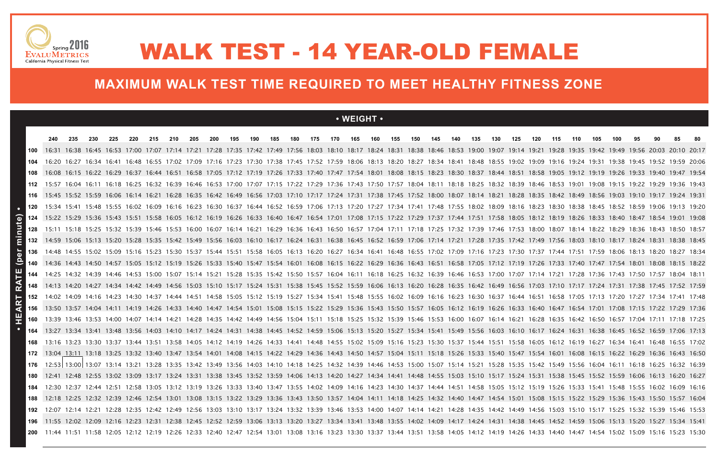#### **• WEIGHT •**

|                | 240 | 235                                                                                                                                                                                                               | 230 | 225 | 220 | 215 | 210 | 205 | 200 | 195 | 190 | 185 | 180 | 175 | 170 | 165 | 160 | 155 | 150 | 145 | 140 | 135 | 130 | 125 | 120 | 115 | 110 | 105 | 100 | 95 | 90 | 85 | -80 |
|----------------|-----|-------------------------------------------------------------------------------------------------------------------------------------------------------------------------------------------------------------------|-----|-----|-----|-----|-----|-----|-----|-----|-----|-----|-----|-----|-----|-----|-----|-----|-----|-----|-----|-----|-----|-----|-----|-----|-----|-----|-----|----|----|----|-----|
|                |     | 16:31 16:38 16:45 16:53 17:00 17:07 17:14 17:21 17:28 17:35 17:42 17:49 17:56 18:03 18:10 18:17 18:24 18:31 18:38 18:46 18:53 19:00 19:07 19:14 19:21 19:28 19:42 19:42 19:49 19:56 20:03 20:10 20:17             |     |     |     |     |     |     |     |     |     |     |     |     |     |     |     |     |     |     |     |     |     |     |     |     |     |     |     |    |    |    |     |
|                |     | 16:20 16:27 16:34 16:41 16:48 16:55 17:02 17:09 17:16 17:23 17:30 17:38 17:45 17:52 17:59 18:06 18:13 18:20 18:27 18:34 18:41 18:48 18:55 19:02 19:09 19:16 19:24 19:31 19:38 19:45 19:52 19:59 20:06             |     |     |     |     |     |     |     |     |     |     |     |     |     |     |     |     |     |     |     |     |     |     |     |     |     |     |     |    |    |    |     |
|                |     | 16:08 16:15 16:22 16:22 16:29 16:37 16:44 16:51 16:58 17:05 17:12 17:19 17:26 17:33 17:40 17:47 17:54 18:01 18:08 18:15 18:23 18:30 18:37 18:44 18:51 18:58 19:05 19:12 19:19 19:26 19:33 19:40 19:47 19:54       |     |     |     |     |     |     |     |     |     |     |     |     |     |     |     |     |     |     |     |     |     |     |     |     |     |     |     |    |    |    |     |
| 112            |     | 15:57 16:04 16:11 16:18 16:25 16:32 16:39 16:46 16:53 17:00 17:07 17:15 17:22 17:29 17:36 17:43 17:50 17:57 18:04 18:11 18:18 18:25 18:32 18:39 18:46 18:53 19:01 19:08 19:15 19:22 19:22 19:26 19:43             |     |     |     |     |     |     |     |     |     |     |     |     |     |     |     |     |     |     |     |     |     |     |     |     |     |     |     |    |    |    |     |
| 116            |     | 15:45 15:52 15:59 16:06 16:14 16:21 16:28 16:35 16:42 16:49 16:56 17:03 17:10 17:17 17:24 17:31 17:38 17:45 17:52 18:00 18:07 18:14 18:21 18:28 18:35 18:42 18:56 19:03 19:10 19:17 19:24 19:31                   |     |     |     |     |     |     |     |     |     |     |     |     |     |     |     |     |     |     |     |     |     |     |     |     |     |     |     |    |    |    |     |
|                |     | 15:34 15:41 15:48 15:55 16:02 16:09 16:16 16:23 16:30 16:37 16:44 16:52 16:59 17:06 17:13 17:20 17:27 17:34 17:41 17:48 17:55 18:02 18:09 18:16 18:23 18:30 18:38 18:45 18:52 18:59 19:06 19:13 19:20             |     |     |     |     |     |     |     |     |     |     |     |     |     |     |     |     |     |     |     |     |     |     |     |     |     |     |     |    |    |    |     |
| 124            |     | 15:22 15:29 15:36 15:43 15:51 15:58 16:05 16:12 16:19 16:26 16:33 16:40 16:47 16:54 17:01 17:08 17:15 17:22 17:29 17:37 17:44 17:51 17:58 18:05 18:12 18:19 18:26 18:33 18:40 18:47 18:54 19:01 19:08             |     |     |     |     |     |     |     |     |     |     |     |     |     |     |     |     |     |     |     |     |     |     |     |     |     |     |     |    |    |    |     |
| minute)<br>128 |     | 15:11 15:18 15:25 15:32 15:39 15:46 15:53 16:00 16:07 16:14 16:21 16:29 16:36 16:43 16:50 16:57 17:04 17:11 17:18 17:25 17:32 17:39 17:46 17:53 18:00 18:07 18:14 18:22 18:29 18:36 18:43 18:50 18:57             |     |     |     |     |     |     |     |     |     |     |     |     |     |     |     |     |     |     |     |     |     |     |     |     |     |     |     |    |    |    |     |
|                |     | 14:59 15:06 15:13 15:20 15:28 15:35 15:42 15:49 15:56 16:03 16:10 16:17 16:24 16:31 16:38 16:45 16:52 16:59 17:06 17:14 17:21 17:28 17:42 17:42 17:49 17:56 18:03 18:10 18:17 18:24 18:31 18:38 18:45             |     |     |     |     |     |     |     |     |     |     |     |     |     |     |     |     |     |     |     |     |     |     |     |     |     |     |     |    |    |    |     |
| (per           |     | 14:48 14:55 15:02 15:09 15:16 15:23 15:30 15:37 15:44 15:51 15:58 16:05 16:13 16:20 16:27 16:34 16:41 16:48 16:55 17:02 17:09 17:16 17:23 17:30 17:37 17:44 17:51 17:59 18:06 18:13 18:20 18:27 18:34             |     |     |     |     |     |     |     |     |     |     |     |     |     |     |     |     |     |     |     |     |     |     |     |     |     |     |     |    |    |    |     |
|                |     | 14:36 14:43 14:50 14:57 15:05 15:12 15:19 15:26 15:33 15:40 15:47 15:54 16:01 16:08 16:15 16:22 16:29 16:36 16:43 16:51 16:58 17:05 17:12 17:19 17:26 17:33 17:40 17:47 17:54 18:01 18:08 18:15 18:22             |     |     |     |     |     |     |     |     |     |     |     |     |     |     |     |     |     |     |     |     |     |     |     |     |     |     |     |    |    |    |     |
| 믹<br>144       |     | 14:25 14:32 14:39 14:46 14:53 15:00 15:07 15:14 15:21 15:28 15:35 15:42 15:50 15:57 16:04 16:11 16:18 16:25 16:32 16:39 16:46 16:53 17:00 17:07 17:14 17:21 17:28 17:36 17:43 17:50 17:57 18:04 18:11             |     |     |     |     |     |     |     |     |     |     |     |     |     |     |     |     |     |     |     |     |     |     |     |     |     |     |     |    |    |    |     |
|                |     | 14:13 14:20 14:27 14:34 14:42 14:49 14:56 15:03 15:10 15:17 15:24 15:31 15:38 15:45 15:52 15:59 16:06 16:13 16:20 16:28 16:35 16:42 16:49 16:56 17:03 17:10 17:17 17:24 17:31 17:38 17:19 17:38 17:45 17:52 17:59 |     |     |     |     |     |     |     |     |     |     |     |     |     |     |     |     |     |     |     |     |     |     |     |     |     |     |     |    |    |    |     |
|                |     | 14:02 14:09 14:16 14:23 14:30 14:37 14:44 14:51 14:58 15:05 15:12 15:19 15:27 15:34 15:41 15:48 15:55 16:02 16:09 16:16 16:23 16:30 16:37 16:44 16:51 16:58 17:05 17:13 17:20 17:27 17:34 17:41 17:48             |     |     |     |     |     |     |     |     |     |     |     |     |     |     |     |     |     |     |     |     |     |     |     |     |     |     |     |    |    |    |     |
| d.             |     | 13:50 13:57 14:04 14:11 14:19 14:26 14:33 14:40 14:47 14:54 15:01 15:08 15:15 15:22 15:29 15:36 15:43 15:50 15:57 16:05 16:12 16:19 16:26 16:33 16:40 16:47 16:54 17:01 17:08 17:15 17:22 17:29 17:36             |     |     |     |     |     |     |     |     |     |     |     |     |     |     |     |     |     |     |     |     |     |     |     |     |     |     |     |    |    |    |     |
| 160            |     | 13:39 13:46 13:53 14:00 14:07 14:14 14:21 14:28 14:35 14:42 14:49 14:56 15:04 15:11 15:18 15:25 15:32 15:39 15:46 15:53 16:00 16:07 16:14 16:21 16:28 16:35 16:42 16:57 17:04 17:11 17:18 17:25                   |     |     |     |     |     |     |     |     |     |     |     |     |     |     |     |     |     |     |     |     |     |     |     |     |     |     |     |    |    |    |     |
|                |     | 13:27 13:34 13:41 13:48 13:56 14:03 14:10 14:17 14:24 14:31 14:38 14:45 14:52 14:59 15:06 15:13 15:20 15:27 15:34 15:49 15:56 16:03 16:10 16:17 16:24 16:31 16:38 16:45 16:52 16:59 17:06 17:13                   |     |     |     |     |     |     |     |     |     |     |     |     |     |     |     |     |     |     |     |     |     |     |     |     |     |     |     |    |    |    |     |
|                |     | 13:16 13:23 13:30 13:37 13:44 13:51 13:58 14:05 14:12 14:19 14:26 14:33 14:41 14:48 14:55 15:02 15:09 15:16 15:23 15:30 15:37 15:44 15:51 15:58 16:05 16:12 16:19 16:27 16:34 16:41 16:48 16:55 17:02             |     |     |     |     |     |     |     |     |     |     |     |     |     |     |     |     |     |     |     |     |     |     |     |     |     |     |     |    |    |    |     |
| 172            |     | 13:04 13:11 13:18 13:25 13:32 13:40 13:47 13:54 14:01 14:08 14:15 14:22 14:29 14:36 14:43 14:50 14:57 15:04 15:11 15:18 15:26 15:33 15:40 15:47 15:54 16:01 16:08 16:15 16:22 16:29 16:36 16:43 16:50             |     |     |     |     |     |     |     |     |     |     |     |     |     |     |     |     |     |     |     |     |     |     |     |     |     |     |     |    |    |    |     |
| 176            |     | 12:53 13:00 13:07 13:14 13:21 13:28 13:35 13:42 13:49 13:56 14:03 14:10 14:18 14:25 14:32 14:46 14:53 15:00 15:07 15:14 15:21 15:28 15:43 15:49 15:56 16:04 16:11 16:18 16:25 16:32 16:39                         |     |     |     |     |     |     |     |     |     |     |     |     |     |     |     |     |     |     |     |     |     |     |     |     |     |     |     |    |    |    |     |
|                |     | 12:41 12:48 12:55 13:02 13:09 13:17 13:24 13:31 13:38 13:45 13:52 13:59 14:06 14:13 14:20 14:27 14:34 14:41 14:48 14:55 15:03 15:10 15:17 15:24 15:31 15:38 15:45 15:52 15:59 16:06 16:13 16:20 16:27             |     |     |     |     |     |     |     |     |     |     |     |     |     |     |     |     |     |     |     |     |     |     |     |     |     |     |     |    |    |    |     |
|                |     | 12:30 12:37 12:44 12:51 12:58 13:05 13:12 13:19 13:26 13:33 13:40 13:47 13:55 14:02 14:09 14:16 14:23 14:30 14:37 14:44 14:51 14:58 15:05 15:12 15:19 15:26 15:33 15:41 15:48 15:55 16:02 16:09 16:16             |     |     |     |     |     |     |     |     |     |     |     |     |     |     |     |     |     |     |     |     |     |     |     |     |     |     |     |    |    |    |     |
|                |     | 12:18 12:25 12:32 12:39 12:46 12:54 13:01 13:08 13:15 13:22 13:29 13:36 13:43 13:50 13:57 14:04 14:11 14:18 14:25 14:40 14:47 14:54 15:01 15:08 15:15 15:22 15:22 15:36 15:43 15:50 15:57 16:04                   |     |     |     |     |     |     |     |     |     |     |     |     |     |     |     |     |     |     |     |     |     |     |     |     |     |     |     |    |    |    |     |
| 192            |     | 12:07 12:14 12:21 12:28 12:35 12:42 12:49 12:56 13:03 13:10 13:17 13:24 13:32 13:39 13:46 13:53 14:00 14:07 14:14 14:21 14:28 14:35 14:49 14:56 15:03 15:10 15:17 15:25 15:32 15:39 15:46 15:53                   |     |     |     |     |     |     |     |     |     |     |     |     |     |     |     |     |     |     |     |     |     |     |     |     |     |     |     |    |    |    |     |
|                |     | 11:55 12:02 12:09 12:16 12:23 12:31 12:38 12:45 12:52 12:59 13:06 13:13 13:20 13:27 13:34 13:41 13:48 13:55 14:02 14:09 14:17 14:24 14:31 14:38 14:45 14:52 14:59 15:06 15:13 15:20 15:27 15:34 15:41             |     |     |     |     |     |     |     |     |     |     |     |     |     |     |     |     |     |     |     |     |     |     |     |     |     |     |     |    |    |    |     |
|                |     | 11:44 11:51 11:58 12:05 12:12 12:19 12:26 12:33 12:40 12:47 12:54 13:01 13:08 13:16 13:23 13:30 13:37 13:44 13:51 13:58 14:05 14:12 14:19 14:26 14:33 14:40 14:47 14:54 15:02 15:09 15:16 15:23 15:30             |     |     |     |     |     |     |     |     |     |     |     |     |     |     |     |     |     |     |     |     |     |     |     |     |     |     |     |    |    |    |     |





## WALK TEST - 14 YEAR-OLD FEMALE